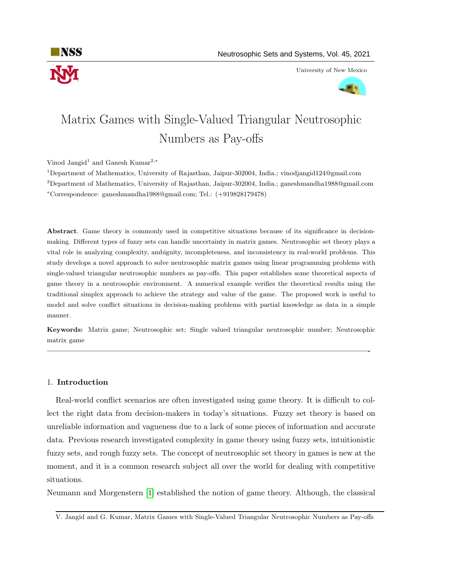

University of New Mexico



# Matrix Games with Single-Valued Triangular Neutrosophic Numbers as Pay-offs

Vinod Jangid<sup>1</sup> and Ganesh Kumar<sup>2,\*</sup>

<sup>1</sup>Department of Mathematics, University of Rajasthan, Jaipur-302004, India.; vinodjangid124@gmail.com <sup>2</sup>Department of Mathematics, University of Rajasthan, Jaipur-302004, India.; ganeshmandha1988@gmail.com <sup>∗</sup>Correspondence: ganeshmandha1988@gmail.com; Tel.: (+919828179478)

Abstract. Game theory is commonly used in competitive situations because of its significance in decisionmaking. Different types of fuzzy sets can handle uncertainty in matrix games. Neutrosophic set theory plays a vital role in analyzing complexity, ambiguity, incompleteness, and inconsistency in real-world problems. This study develops a novel approach to solve neutrosophic matrix games using linear programming problems with single-valued triangular neutrosophic numbers as pay-offs. This paper establishes some theoretical aspects of game theory in a neutrosophic environment. A numerical example verifies the theoretical results using the traditional simplex approach to achieve the strategy and value of the game. The proposed work is useful to model and solve conflict situations in decision-making problems with partial knowledge as data in a simple manner.

Keywords: Matrix game; Neutrosophic set; Single valued triangular neutrosophic number; Neutrosophic matrix game

—————————————————————————————————————————-

#### 1. Introduction

Real-world conflict scenarios are often investigated using game theory. It is difficult to collect the right data from decision-makers in today's situations. Fuzzy set theory is based on unreliable information and vagueness due to a lack of some pieces of information and accurate data. Previous research investigated complexity in game theory using fuzzy sets, intuitionistic fuzzy sets, and rough fuzzy sets. The concept of neutrosophic set theory in games is new at the moment, and it is a common research subject all over the world for dealing with competitive situations.

Neumann and Morgenstern [\[1\]](#page-18-0) established the notion of game theory. Although, the classical

V. Jangid and G. Kumar, Matrix Games with Single-Valued Triangular Neutrosophic Numbers as Pay-offs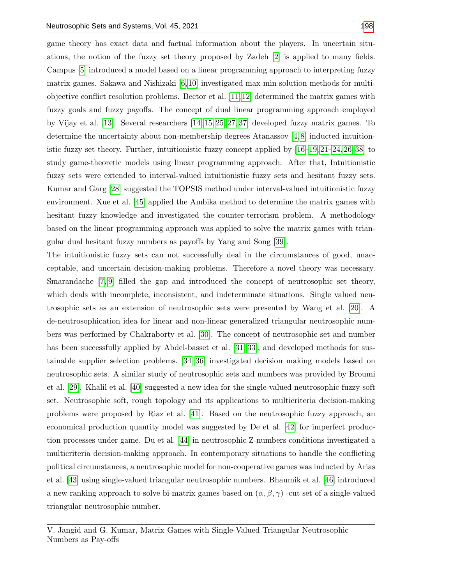game theory has exact data and factual information about the players. In uncertain situations, the notion of the fuzzy set theory proposed by Zadeh [\[2\]](#page-18-1) is applied to many fields. Campus [\[5\]](#page-18-2) introduced a model based on a linear programming approach to interpreting fuzzy matrix games. Sakawa and Nishizaki [\[6,](#page-18-3) [10\]](#page-18-4) investigated max-min solution methods for multiobjective conflict resolution problems. Bector et al. [\[11,](#page-18-5)[12\]](#page-18-6) determined the matrix games with fuzzy goals and fuzzy payoffs. The concept of dual linear programming approach employed by Vijay et al. [\[13\]](#page-18-7). Several researchers [\[14,](#page-18-8) [15,](#page-18-9) [25,](#page-19-0) [27,](#page-19-1) [37\]](#page-19-2) developed fuzzy matrix games. To determine the uncertainty about non-membership degrees Atanassov [\[4,](#page-18-10) [8\]](#page-18-11) inducted intuitionistic fuzzy set theory. Further, intuitionistic fuzzy concept applied by [\[16–](#page-18-12)[19,](#page-18-13) [21–](#page-18-14)[24,](#page-19-3) [26,](#page-19-4) [38\]](#page-19-5) to study game-theoretic models using linear programming approach. After that, Intuitionistic fuzzy sets were extended to interval-valued intuitionistic fuzzy sets and hesitant fuzzy sets. Kumar and Garg [\[28\]](#page-19-6) suggested the TOPSIS method under interval-valued intuitionistic fuzzy environment. Xue et al. [\[45\]](#page-20-1) applied the Ambika method to determine the matrix games with hesitant fuzzy knowledge and investigated the counter-terrorism problem. A methodology based on the linear programming approach was applied to solve the matrix games with triangular dual hesitant fuzzy numbers as payoffs by Yang and Song [\[39\]](#page-19-7).

The intuitionistic fuzzy sets can not successfully deal in the circumstances of good, unacceptable, and uncertain decision-making problems. Therefore a novel theory was necessary. Smarandache [\[7,](#page-18-15) [9\]](#page-18-16) filled the gap and introduced the concept of neutrosophic set theory, which deals with incomplete, inconsistent, and indeterminate situations. Single valued neutrosophic sets as an extension of neutrosophic sets were presented by Wang et al. [\[20\]](#page-18-17). A de-neutrosophication idea for linear and non-linear generalized triangular neutrosophic numbers was performed by Chakraborty et al. [\[30\]](#page-19-8). The concept of neutrosophic set and number has been successfully applied by Abdel-basset et al. [\[31–](#page-19-9)[33\]](#page-19-10), and developed methods for sustainable supplier selection problems. [\[34](#page-19-11)[–36\]](#page-19-12) investigated decision making models based on neutrosophic sets. A similar study of neutrosophic sets and numbers was provided by Broumi et al. [\[29\]](#page-19-13). Khalil et al. [\[40\]](#page-19-14) suggested a new idea for the single-valued neutrosophic fuzzy soft set. Neutrosophic soft, rough topology and its applications to multicriteria decision-making problems were proposed by Riaz et al. [\[41\]](#page-19-15). Based on the neutrosophic fuzzy approach, an economical production quantity model was suggested by De et al. [\[42\]](#page-19-16) for imperfect production processes under game. Du et al. [\[44\]](#page-20-2) in neutrosophic Z-numbers conditions investigated a multicriteria decision-making approach. In contemporary situations to handle the conflicting political circumstances, a neutrosophic model for non-cooperative games was inducted by Arias et al. [\[43\]](#page-20-3) using single-valued triangular neutrosophic numbers. Bhaumik et al. [\[46\]](#page-20-4) introduced a new ranking approach to solve bi-matrix games based on  $(\alpha, \beta, \gamma)$  -cut set of a single-valued triangular neutrosophic number.

V. Jangid and G. Kumar, Matrix Games with Single-Valued Triangular Neutrosophic Numbers as Pay-offs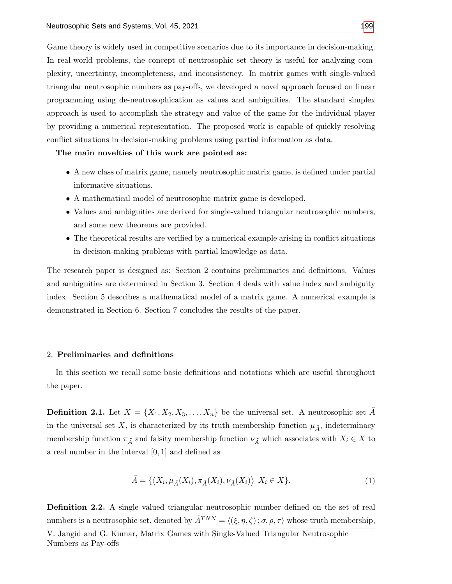Game theory is widely used in competitive scenarios due to its importance in decision-making. In real-world problems, the concept of neutrosophic set theory is useful for analyzing complexity, uncertainty, incompleteness, and inconsistency. In matrix games with single-valued triangular neutrosophic numbers as pay-offs, we developed a novel approach focused on linear programming using de-neutrosophication as values and ambiguities. The standard simplex approach is used to accomplish the strategy and value of the game for the individual player by providing a numerical representation. The proposed work is capable of quickly resolving conflict situations in decision-making problems using partial information as data.

The main novelties of this work are pointed as:

- A new class of matrix game, namely neutrosophic matrix game, is defined under partial informative situations.
- A mathematical model of neutrosophic matrix game is developed.
- Values and ambiguities are derived for single-valued triangular neutrosophic numbers, and some new theorems are provided.
- The theoretical results are verified by a numerical example arising in conflict situations in decision-making problems with partial knowledge as data.

The research paper is designed as: Section 2 contains preliminaries and definitions. Values and ambiguities are determined in Section 3. Section 4 deals with value index and ambiguity index. Section 5 describes a mathematical model of a matrix game. A numerical example is demonstrated in Section 6. Section 7 concludes the results of the paper.

#### 2. Preliminaries and definitions

In this section we recall some basic definitions and notations which are useful throughout the paper.

**Definition 2.1.** Let  $X = \{X_1, X_2, X_3, \ldots, X_n\}$  be the universal set. A neutrosophic set A in the universal set X, is characterized by its truth membership function  $\mu_{\tilde{A}}$ , indeterminacy membership function  $\pi_{\tilde{A}}$  and falsity membership function  $\nu_{\tilde{A}}$  which associates with  $X_i \in X$  to a real number in the interval [0, 1] and defined as

$$
\tilde{A} = \{ \langle X_i, \mu_{\tilde{A}}(X_i), \pi_{\tilde{A}}(X_i), \nu_{\tilde{A}}(X_i) \rangle \, | X_i \in X \}. \tag{1}
$$

Definition 2.2. A single valued triangular neutrosophic number defined on the set of real numbers is a neutrosophic set, denoted by  $\tilde{A}^{TNN} = \langle (\xi, \eta, \zeta) ; \sigma, \rho, \tau \rangle$  whose truth membership,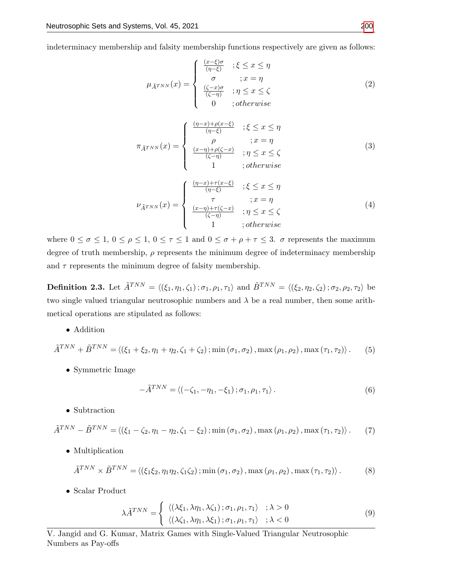indeterminacy membership and falsity membership functions respectively are given as follows:

$$
\mu_{\tilde{A}^{TNN}}(x) = \begin{cases}\n\frac{(x-\xi)\sigma}{(\eta-\xi)} & ; \xi \leq x \leq \eta \\
\sigma & ; x = \eta \\
\frac{(\zeta-x)\sigma}{(\zeta-\eta)} & ; \eta \leq x \leq \zeta \\
0 & ; otherwise\n\end{cases} \tag{2}
$$

$$
\pi_{\tilde{A}^{TNN}}(x) = \begin{cases}\n\frac{(\eta - x) + \rho(x - \xi)}{(\eta - \xi)} & ; \xi \le x \le \eta \\
\rho & ; x = \eta \\
\frac{(x - \eta) + \rho(\zeta - x)}{(\zeta - \eta)} & ; \eta \le x \le \zeta \\
1 & ; otherwise\n\end{cases} \tag{3}
$$

$$
\nu_{\tilde{A}^{TNN}}(x) = \begin{cases}\n\frac{(\eta - x) + \tau(x - \xi)}{(\eta - \xi)} & ; \xi \le x \le \eta \\
\tau & ; x = \eta \\
\frac{(x - \eta) + \tau(\zeta - x)}{(\zeta - \eta)} & ; \eta \le x \le \zeta \\
1 & ; otherwise\n\end{cases} \tag{4}
$$

where  $0 \le \sigma \le 1$ ,  $0 \le \rho \le 1$ ,  $0 \le \tau \le 1$  and  $0 \le \sigma + \rho + \tau \le 3$ .  $\sigma$  represents the maximum degree of truth membership,  $\rho$  represents the minimum degree of indeterminacy membership and  $\tau$  represents the minimum degree of falsity membership.

**Definition 2.3.** Let  $\tilde{A}^{TNN} = \langle (\xi_1, \eta_1, \zeta_1) ; \sigma_1, \rho_1, \tau_1 \rangle$  and  $\tilde{B}^{TNN} = \langle (\xi_2, \eta_2, \zeta_2) ; \sigma_2, \rho_2, \tau_2 \rangle$  be two single valued triangular neutrosophic numbers and  $\lambda$  be a real number, then some arithmetical operations are stipulated as follows:

• Addition

$$
\tilde{A}^{TNN} + \tilde{B}^{TNN} = \langle (\xi_1 + \xi_2, \eta_1 + \eta_2, \zeta_1 + \zeta_2) ; \min(\sigma_1, \sigma_2), \max(\rho_1, \rho_2), \max(\tau_1, \tau_2) \rangle. \tag{5}
$$

• Symmetric Image

$$
-\tilde{A}^{TNN} = \langle (-\zeta_1, -\eta_1, -\xi_1) \, ; \sigma_1, \rho_1, \tau_1 \rangle \,. \tag{6}
$$

• Subtraction

$$
\tilde{A}^{TNN} - \tilde{B}^{TNN} = \langle (\xi_1 - \zeta_2, \eta_1 - \eta_2, \zeta_1 - \xi_2) ; \min(\sigma_1, \sigma_2), \max(\rho_1, \rho_2), \max(\tau_1, \tau_2) \rangle. \tag{7}
$$

• Multiplication

$$
\tilde{A}^{TNN} \times \tilde{B}^{TNN} = \langle (\xi_1 \xi_2, \eta_1 \eta_2, \zeta_1 \zeta_2) ; \min(\sigma_1, \sigma_2), \max(\rho_1, \rho_2), \max(\tau_1, \tau_2) \rangle. \tag{8}
$$

• Scalar Product

$$
\lambda \tilde{A}^{TNN} = \begin{cases} \langle (\lambda \xi_1, \lambda \eta_1, \lambda \zeta_1) ; \sigma_1, \rho_1, \tau_1 \rangle & ; \lambda > 0 \\ \langle (\lambda \zeta_1, \lambda \eta_1, \lambda \xi_1) ; \sigma_1, \rho_1, \tau_1 \rangle & ; \lambda < 0 \end{cases}
$$
(9)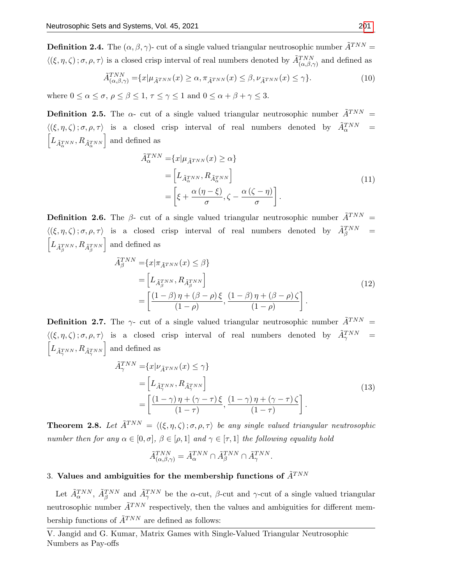**Definition 2.4.** The  $(\alpha, \beta, \gamma)$ - cut of a single valued triangular neutrosophic number  $\tilde{A}^{TNN}$  =  $\langle (\xi, \eta, \zeta); \sigma, \rho, \tau \rangle$  is a closed crisp interval of real numbers denoted by  $\tilde{A}_{(\alpha,\beta,\gamma)}^{TNN}$  and defined as

$$
\tilde{A}_{(\alpha,\beta,\gamma)}^{TNN} = \{x | \mu_{\tilde{A}^{TNN}}(x) \ge \alpha, \pi_{\tilde{A}^{TNN}}(x) \le \beta, \nu_{\tilde{A}^{TNN}}(x) \le \gamma\}.
$$
\n(10)

where  $0 \leq \alpha \leq \sigma$ ,  $\rho \leq \beta \leq 1$ ,  $\tau \leq \gamma \leq 1$  and  $0 \leq \alpha + \beta + \gamma \leq 3$ .

**Definition 2.5.** The  $\alpha$ - cut of a single valued triangular neutrosophic number  $\tilde{A}^{TNN}$  =  $\langle (\xi, \eta, \zeta) ; \sigma, \rho, \tau \rangle$  is a closed crisp interval of real numbers denoted by  $\tilde{A}_{\alpha}^{TNN}$  =  $\left[ L_{\tilde{A}_{\alpha}^{TNN}}, R_{\tilde{A}_{\alpha}^{TNN}} \right]$  and defined as

<span id="page-4-0"></span>
$$
\tilde{A}_{\alpha}^{TNN} = \{x | \mu_{\tilde{A}^{TNN}}(x) \ge \alpha\}
$$
\n
$$
= \left[L_{\tilde{A}_{\alpha}^{TNN}}, R_{\tilde{A}_{\alpha}^{TNN}}\right]
$$
\n
$$
= \left[\xi + \frac{\alpha(\eta - \xi)}{\sigma}, \zeta - \frac{\alpha(\zeta - \eta)}{\sigma}\right].
$$
\n(11)

**Definition 2.6.** The  $\beta$ - cut of a single valued triangular neutrosophic number  $\tilde{A}^{TNN}$  =  $\langle (\xi, \eta, \zeta) ; \sigma, \rho, \tau \rangle$  is a closed crisp interval of real numbers denoted by  $\tilde{A}_{\beta}^{TNN}$  =  $\left[ L_{\tilde{A}^{TNN}_{\beta}}, R_{\tilde{A}^{TNN}_{\beta}} \right]$ | and defined as

<span id="page-4-1"></span>
$$
\tilde{A}_{\beta}^{TNN} = \{x | \pi_{\tilde{A}^{TNN}}(x) \le \beta\}
$$
\n
$$
= \left[ L_{\tilde{A}_{\beta}^{TNN}}, R_{\tilde{A}_{\beta}^{TNN}} \right]
$$
\n
$$
= \left[ \frac{(1-\beta)\eta + (\beta-\rho)\xi}{(1-\rho)}, \frac{(1-\beta)\eta + (\beta-\rho)\zeta}{(1-\rho)} \right].
$$
\n(12)

**Definition 2.7.** The  $\gamma$ - cut of a single valued triangular neutrosophic number  $\tilde{A}^{TNN}$  =  $\langle (\xi, \eta, \zeta) ; \sigma, \rho, \tau \rangle$  is a closed crisp interval of real numbers denoted by  $\tilde{A}^{TNN}_{\gamma}$  =  $\left[ L_{\tilde{A}_{\gamma}^{TNN}}, R_{\tilde{A}_{\gamma}^{TNN}} \right]$  and defined as

<span id="page-4-2"></span>
$$
\tilde{A}_{\gamma}^{TNN} = \{x | \nu_{\tilde{A}^{TNN}}(x) \le \gamma\}
$$
\n
$$
= \left[L_{\tilde{A}_{\gamma}^{TNN}}, R_{\tilde{A}_{\gamma}^{TNN}}\right]
$$
\n
$$
= \left[\frac{(1-\gamma)\eta + (\gamma-\tau)\xi}{(1-\tau)}, \frac{(1-\gamma)\eta + (\gamma-\tau)\zeta}{(1-\tau)}\right].
$$
\n(13)

**Theorem 2.8.** Let  $\tilde{A}^{TNN} = \langle (\xi, \eta, \zeta) ; \sigma, \rho, \tau \rangle$  be any single valued triangular neutrosophic number then for any  $\alpha \in [0, \sigma], \beta \in [\rho, 1]$  and  $\gamma \in [\tau, 1]$  the following equality hold

$$
\tilde{A}^{TNN}_{(\alpha,\beta,\gamma)}=\tilde{A}^{TNN}_\alpha\cap \tilde{A}^{TNN}_\beta\cap \tilde{A}^{TNN}_\gamma.
$$

## 3. Values and ambiguities for the membership functions of  $\tilde{A}^{TNN}$

Let  $\tilde{A}_{\alpha}^{TNN}$ ,  $\tilde{A}_{\beta}^{TNN}$  and  $\tilde{A}_{\gamma}^{TNN}$  be the  $\alpha$ -cut,  $\beta$ -cut and  $\gamma$ -cut of a single valued triangular neutrosophic number  $\tilde{A}^{TNN}$  respectively, then the values and ambiguities for different membership functions of  $\tilde{A}^{TNN}$  are defined as follows: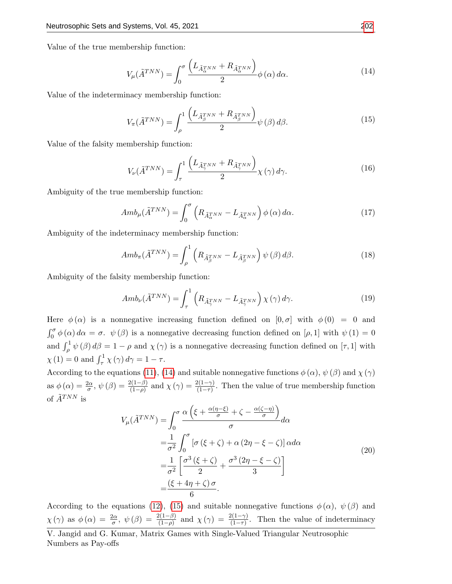Value of the true membership function:

<span id="page-5-0"></span>
$$
V_{\mu}(\tilde{A}^{TNN}) = \int_0^{\sigma} \frac{\left(L_{\tilde{A}_{\alpha}^{TNN}} + R_{\tilde{A}_{\alpha}^{TNN}}\right)}{2} \phi(\alpha) d\alpha.
$$
 (14)

Value of the indeterminacy membership function:

<span id="page-5-1"></span>
$$
V_{\pi}(\tilde{A}^{TNN}) = \int_{\rho}^{1} \frac{\left(L_{\tilde{A}_{\beta}^{TNN}} + R_{\tilde{A}_{\beta}^{TNN}}\right)}{2} \psi(\beta) d\beta.
$$
 (15)

Value of the falsity membership function:

<span id="page-5-2"></span>
$$
V_{\nu}(\tilde{A}^{TNN}) = \int_{\tau}^{1} \frac{\left(L_{\tilde{A}_{\gamma}^{TNN}} + R_{\tilde{A}_{\gamma}^{TNN}}\right)}{2} \chi(\gamma) d\gamma.
$$
 (16)

Ambiguity of the true membership function:

<span id="page-5-3"></span>
$$
Amb_{\mu}(\tilde{A}^{TNN}) = \int_0^{\sigma} \left( R_{\tilde{A}_{\alpha}^{TNN}} - L_{\tilde{A}_{\alpha}^{TNN}} \right) \phi(\alpha) d\alpha.
$$
 (17)

Ambiguity of the indeterminacy membership function:

<span id="page-5-4"></span>
$$
Amb_{\pi}(\tilde{A}^{TNN}) = \int_{\rho}^{1} \left( R_{\tilde{A}_{\beta}^{TNN}} - L_{\tilde{A}_{\beta}^{TNN}} \right) \psi(\beta) d\beta.
$$
 (18)

Ambiguity of the falsity membership function:

<span id="page-5-5"></span>
$$
Amb_{\nu}(\tilde{A}^{TNN}) = \int_{\tau}^{1} \left( R_{\tilde{A}_{\gamma}^{TNN}} - L_{\tilde{A}_{\gamma}^{TNN}} \right) \chi(\gamma) d\gamma.
$$
 (19)

Here  $\phi(\alpha)$  is a nonnegative increasing function defined on  $[0, \sigma]$  with  $\phi(0) = 0$  and  $\int_0^{\sigma} \phi(\alpha) d\alpha = \sigma$ .  $\psi(\beta)$  is a nonnegative decreasing function defined on [ $\rho$ , 1] with  $\psi(1) = 0$ and  $\int_{\rho}^{1} \psi(\beta) d\beta = 1 - \rho$  and  $\chi(\gamma)$  is a nonnegative decreasing function defined on  $[\tau, 1]$  with  $\chi(1) = 0$  and  $\int_{\tau}^{1} \chi(\gamma) d\gamma = 1 - \tau$ .

According to the equations [\(11\)](#page-4-0), [\(14\)](#page-5-0) and suitable nonnegative functions  $\phi(\alpha)$ ,  $\psi(\beta)$  and  $\chi(\gamma)$ as  $\phi(\alpha) = \frac{2\alpha}{\sigma}, \psi(\beta) = \frac{2(1-\beta)}{(1-\rho)}$  and  $\chi(\gamma) = \frac{2(1-\gamma)}{(1-\tau)}$ . Then the value of true membership function of  $\tilde{A}^{TNN}$  is

<span id="page-5-6"></span>
$$
V_{\mu}(\tilde{A}^{TNN}) = \int_0^{\sigma} \frac{\alpha \left(\xi + \frac{\alpha(\eta - \xi)}{\sigma} + \zeta - \frac{\alpha(\zeta - \eta)}{\sigma}\right)}{\sigma} d\alpha
$$
  

$$
= \frac{1}{\sigma^2} \int_0^{\sigma} \left[\sigma \left(\xi + \zeta\right) + \alpha \left(2\eta - \xi - \zeta\right)\right] \alpha d\alpha
$$
  

$$
= \frac{1}{\sigma^2} \left[\frac{\sigma^3 \left(\xi + \zeta\right)}{2} + \frac{\sigma^3 \left(2\eta - \xi - \zeta\right)}{3}\right]
$$
  

$$
= \frac{\left(\xi + 4\eta + \zeta\right)\sigma}{6}.
$$
 (20)

According to the equations [\(12\)](#page-4-1), [\(15\)](#page-5-1) and suitable nonnegative functions  $\phi(\alpha)$ ,  $\psi(\beta)$  and  $\chi(\gamma)$  as  $\phi(\alpha) = \frac{2\alpha}{\sigma}$ ,  $\psi(\beta) = \frac{2(1-\beta)}{(1-\rho)}$  and  $\chi(\gamma) = \frac{2(1-\gamma)}{(1-\tau)}$ . Then the value of indeterminacy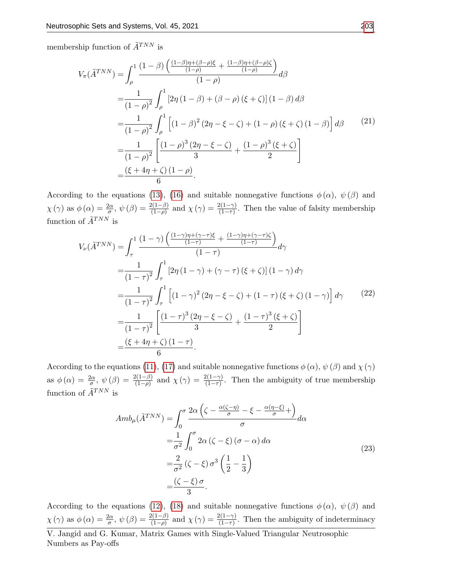membership function of  $\tilde{A}^{TNN}$  is

$$
V_{\pi}(\tilde{A}^{TNN}) = \int_{\rho}^{1} \frac{(1-\beta)\left(\frac{(1-\beta)\eta + (\beta-\rho)\xi}{(1-\rho)} + \frac{(1-\beta)\eta + (\beta-\rho)\zeta}{(1-\rho)}\right)}{(1-\rho)} d\beta
$$
  
\n
$$
= \frac{1}{(1-\rho)^{2}} \int_{\rho}^{1} [2\eta (1-\beta) + (\beta-\rho) (\xi+\zeta)] (1-\beta) d\beta
$$
  
\n
$$
= \frac{1}{(1-\rho)^{2}} \int_{\rho}^{1} \left[ (1-\beta)^{2} (2\eta - \xi - \zeta) + (1-\rho) (\xi + \zeta) (1-\beta) \right] d\beta \qquad (21)
$$
  
\n
$$
= \frac{1}{(1-\rho)^{2}} \left[ \frac{(1-\rho)^{3} (2\eta - \xi - \zeta)}{3} + \frac{(1-\rho)^{3} (\xi + \zeta)}{2} \right]
$$
  
\n
$$
= \frac{(\xi + 4\eta + \zeta) (1-\rho)}{6}.
$$

According to the equations [\(13\)](#page-4-2), [\(16\)](#page-5-2) and suitable nonnegative functions  $\phi(\alpha)$ ,  $\psi(\beta)$  and  $\chi(\gamma)$  as  $\phi(\alpha) = \frac{2\alpha}{\sigma}$ ,  $\psi(\beta) = \frac{2(1-\beta)}{(1-\rho)}$  and  $\chi(\gamma) = \frac{2(1-\gamma)}{(1-\tau)}$ . Then the value of falsity membership function of  $\tilde{A}^{TNN}$  is

$$
V_{\nu}(\tilde{A}^{TNN}) = \int_{\tau}^{1} \frac{(1-\gamma)\left(\frac{(1-\gamma)\eta + (\gamma - \tau)\xi}{(1-\tau)} + \frac{(1-\gamma)\eta + (\gamma - \tau)\zeta}{(1-\tau)}\right)}{(1-\tau)} d\gamma
$$
  
\n
$$
= \frac{1}{(1-\tau)^{2}} \int_{\tau}^{1} [2\eta (1-\gamma) + (\gamma - \tau) (\xi + \zeta)] (1-\gamma) d\gamma
$$
  
\n
$$
= \frac{1}{(1-\tau)^{2}} \int_{\tau}^{1} \left[ (1-\gamma)^{2} (2\eta - \xi - \zeta) + (1-\tau) (\xi + \zeta) (1-\gamma) \right] d\gamma \qquad (22)
$$
  
\n
$$
= \frac{1}{(1-\tau)^{2}} \left[ \frac{(1-\tau)^{3} (2\eta - \xi - \zeta)}{3} + \frac{(1-\tau)^{3} (\xi + \zeta)}{2} \right]
$$
  
\n
$$
= \frac{(\xi + 4\eta + \zeta) (1-\tau)}{6}.
$$

According to the equations [\(11\)](#page-4-0), [\(17\)](#page-5-3) and suitable nonnegative functions  $\phi(\alpha)$ ,  $\psi(\beta)$  and  $\chi(\gamma)$ as  $\phi(\alpha) = \frac{2\alpha}{\sigma}$ ,  $\psi(\beta) = \frac{2(1-\beta)}{(1-\rho)}$  and  $\chi(\gamma) = \frac{2(1-\gamma)}{(1-\tau)}$ . Then the ambiguity of true membership function of  $\tilde{A}^{TNN}$  is

$$
Amb_{\mu}(\tilde{A}^{TNN}) = \int_0^{\sigma} \frac{2\alpha \left(\zeta - \frac{\alpha(\zeta - \eta)}{\sigma} - \xi - \frac{\alpha(\eta - \xi)}{\sigma} + \right)}{\sigma} d\alpha
$$
  

$$
= \frac{1}{\sigma^2} \int_0^{\sigma} 2\alpha \left(\zeta - \xi\right) (\sigma - \alpha) d\alpha
$$
  

$$
= \frac{2}{\sigma^2} \left(\zeta - \xi\right) \sigma^3 \left(\frac{1}{2} - \frac{1}{3}\right)
$$
  

$$
= \frac{\left(\zeta - \xi\right) \sigma}{3}.
$$
 (23)

According to the equations [\(12\)](#page-4-1), [\(18\)](#page-5-4) and suitable nonnegative functions  $\phi(\alpha)$ ,  $\psi(\beta)$  and  $\chi(\gamma)$  as  $\phi(\alpha) = \frac{2\alpha}{\sigma}, \psi(\beta) = \frac{2(1-\beta)}{(1-\rho)}$  and  $\chi(\gamma) = \frac{2(1-\gamma)}{(1-\tau)}$ . Then the ambiguity of indeterminacy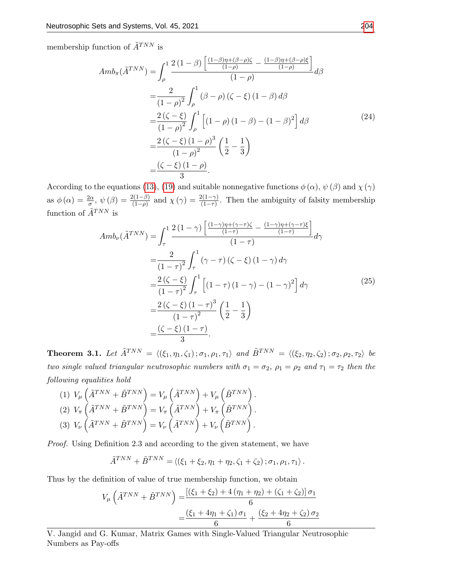membership function of  $\tilde{A}^{TNN}$  is

$$
Amb_{\pi}(\tilde{A}^{TNN}) = \int_{\rho}^{1} \frac{2(1-\beta)\left[\frac{(1-\beta)\eta + (\beta-\rho)\zeta}{(1-\rho)} - \frac{(1-\beta)\eta + (\beta-\rho)\xi}{(1-\rho)}\right]}{(1-\rho)} d\beta
$$
  
\n
$$
= \frac{2}{(1-\rho)^{2}} \int_{\rho}^{1} (\beta-\rho)(\zeta-\xi)(1-\beta) d\beta
$$
  
\n
$$
= \frac{2(\zeta-\xi)}{(1-\rho)^{2}} \int_{\rho}^{1} \left[ (1-\rho)(1-\beta) - (1-\beta)^{2} \right] d\beta
$$
  
\n
$$
= \frac{2(\zeta-\xi)(1-\rho)^{3}}{(1-\rho)^{2}} \left(\frac{1}{2} - \frac{1}{3}\right)
$$
  
\n
$$
= \frac{(\zeta-\xi)(1-\rho)}{3}.
$$
 (24)

According to the equations [\(13\)](#page-4-2), [\(19\)](#page-5-5) and suitable nonnegative functions  $\phi(\alpha)$ ,  $\psi(\beta)$  and  $\chi(\gamma)$ as  $\phi(\alpha) = \frac{2\alpha}{\sigma}, \psi(\beta) = \frac{2(1-\beta)}{(1-\rho)}$  and  $\chi(\gamma) = \frac{2(1-\gamma)}{(1-\tau)}$ . Then the ambiguity of falsity membership function of  $\tilde{A}^{TNN}$  is

<span id="page-7-0"></span>
$$
Amb_{\nu}(\tilde{A}^{TNN}) = \int_{\tau}^{1} \frac{2(1-\gamma)\left[\frac{(1-\gamma)\eta + (\gamma-\tau)\zeta}{(1-\tau)} - \frac{(1-\gamma)\eta + (\gamma-\tau)\xi}{(1-\tau)}\right]}{(1-\tau)} d\gamma
$$
  
\n
$$
= \frac{2}{(1-\tau)^{2}} \int_{\tau}^{1} (\gamma-\tau)(\zeta-\xi)(1-\gamma) d\gamma
$$
  
\n
$$
= \frac{2(\zeta-\xi)}{(1-\tau)^{2}} \int_{\tau}^{1} \left[ (1-\tau)(1-\gamma) - (1-\gamma)^{2} \right] d\gamma
$$
  
\n
$$
= \frac{2(\zeta-\xi)(1-\tau)^{3}}{(1-\tau)^{2}} \left(\frac{1}{2}-\frac{1}{3}\right)
$$
  
\n
$$
= \frac{(\zeta-\xi)(1-\tau)}{3}.
$$
 (25)

**Theorem 3.1.** Let  $\tilde{A}^{TNN} = \langle (\xi_1, \eta_1, \zeta_1) ; \sigma_1, \rho_1, \tau_1 \rangle$  and  $\tilde{B}^{TNN} = \langle (\xi_2, \eta_2, \zeta_2) ; \sigma_2, \rho_2, \tau_2 \rangle$  be two single valued triangular neutrosophic numbers with  $\sigma_1 = \sigma_2$ ,  $\rho_1 = \rho_2$  and  $\tau_1 = \tau_2$  then the following equalities hold

(1) 
$$
V_{\mu} \left( \tilde{A}^{TNN} + \tilde{B}^{TNN} \right) = V_{\mu} \left( \tilde{A}^{TNN} \right) + V_{\mu} \left( \tilde{B}^{TNN} \right).
$$
  
\n(2)  $V_{\pi} \left( \tilde{A}^{TNN} + \tilde{B}^{TNN} \right) = V_{\pi} \left( \tilde{A}^{TNN} \right) + V_{\pi} \left( \tilde{B}^{TNN} \right).$   
\n(3)  $V_{\nu} \left( \tilde{A}^{TNN} + \tilde{B}^{TNN} \right) = V_{\nu} \left( \tilde{A}^{TNN} \right) + V_{\nu} \left( \tilde{B}^{TNN} \right).$ 

Proof. Using Definition 2.3 and according to the given statement, we have

$$
\tilde{A}^{TNN} + \tilde{B}^{TNN} = \langle (\xi_1 + \xi_2, \eta_1 + \eta_2, \zeta_1 + \zeta_2) ; \sigma_1, \rho_1, \tau_1 \rangle.
$$

Thus by the definition of value of true membership function, we obtain

$$
V_{\mu} \left( \tilde{A}^{TNN} + \tilde{B}^{TNN} \right) = \frac{\left[ (\xi_1 + \xi_2) + 4(\eta_1 + \eta_2) + (\zeta_1 + \zeta_2) \right] \sigma_1}{6}
$$

$$
= \frac{(\xi_1 + 4\eta_1 + \zeta_1) \sigma_1}{6} + \frac{(\xi_2 + 4\eta_2 + \zeta_2) \sigma_2}{6}
$$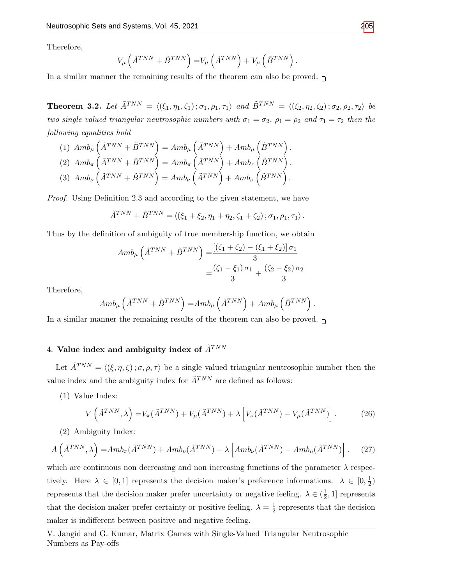Therefore,

$$
V_{\mu}\left(\tilde{A}^{TNN} + \tilde{B}^{TNN}\right) = V_{\mu}\left(\tilde{A}^{TNN}\right) + V_{\mu}\left(\tilde{B}^{TNN}\right).
$$

In a similar manner the remaining results of the theorem can also be proved.  $\Box$ 

**Theorem 3.2.** Let  $\tilde{A}^{TNN} = \langle (\xi_1, \eta_1, \zeta_1) ; \sigma_1, \rho_1, \tau_1 \rangle$  and  $\tilde{B}^{TNN} = \langle (\xi_2, \eta_2, \zeta_2) ; \sigma_2, \rho_2, \tau_2 \rangle$  be two single valued triangular neutrosophic numbers with  $\sigma_1 = \sigma_2$ ,  $\rho_1 = \rho_2$  and  $\tau_1 = \tau_2$  then the following equalities hold

(1) 
$$
Amb_{\mu} \left( \tilde{A}^{TNN} + \tilde{B}^{TNN} \right) = Amb_{\mu} \left( \tilde{A}^{TNN} \right) + Amb_{\mu} \left( \tilde{B}^{TNN} \right).
$$
  
\n(2) 
$$
Amb_{\pi} \left( \tilde{A}^{TNN} + \tilde{B}^{TNN} \right) = Amb_{\pi} \left( \tilde{A}^{TNN} \right) + Amb_{\pi} \left( \tilde{B}^{TNN} \right).
$$
  
\n(3) 
$$
Amb_{\nu} \left( \tilde{A}^{TNN} + \tilde{B}^{TNN} \right) = Amb_{\nu} \left( \tilde{A}^{TNN} \right) + Amb_{\nu} \left( \tilde{B}^{TNN} \right).
$$

Proof. Using Definition 2.3 and according to the given statement, we have

$$
\tilde{A}^{TNN} + \tilde{B}^{TNN} = \langle (\xi_1 + \xi_2, \eta_1 + \eta_2, \zeta_1 + \zeta_2) ; \sigma_1, \rho_1, \tau_1 \rangle.
$$

Thus by the definition of ambiguity of true membership function, we obtain

$$
Amb_{\mu} \left( \tilde{A}^{TNN} + \tilde{B}^{TNN} \right) = \frac{[(\zeta_1 + \zeta_2) - (\xi_1 + \xi_2)] \sigma_1}{3}
$$
  
=  $\frac{(\zeta_1 - \xi_1) \sigma_1}{3} + \frac{(\zeta_2 - \xi_2) \sigma_2}{3}$ 

Therefore,

$$
Amb_\mu\left(\tilde{A}^{TNN}+\tilde{B}^{TNN}\right)=\hspace{-0.5mm}Amb_\mu\left(\tilde{A}^{TNN}\right)+Amb_\mu\left(\tilde{B}^{TNN}\right).
$$

In a similar manner the remaining results of the theorem can also be proved.  $\Box$ 

### 4. Value index and ambiguity index of  $\tilde{A}^{TNN}$

Let  $\tilde{A}^{TNN} = \langle (\xi, \eta, \zeta) ; \sigma, \rho, \tau \rangle$  be a single valued triangular neutrosophic number then the value index and the ambiguity index for  $\tilde{A}^{TNN}$  are defined as follows:

(1) Value Index:

<span id="page-8-0"></span>
$$
V\left(\tilde{A}^{TNN},\lambda\right) = V_{\pi}(\tilde{A}^{TNN}) + V_{\mu}(\tilde{A}^{TNN}) + \lambda \left[V_{\nu}(\tilde{A}^{TNN}) - V_{\mu}(\tilde{A}^{TNN})\right].
$$
 (26)

(2) Ambiguity Index:

<span id="page-8-1"></span>
$$
A\left(\tilde{A}^{TNN},\lambda\right) = Amb_{\pi}(\tilde{A}^{TNN}) + Amb_{\nu}(\tilde{A}^{TNN}) - \lambda \left[Amb_{\nu}(\tilde{A}^{TNN}) - Amb_{\mu}(\tilde{A}^{TNN})\right].
$$
 (27)

which are continuous non decreasing and non increasing functions of the parameter  $\lambda$  respectively. Here  $\lambda \in [0,1]$  represents the decision maker's preference informations.  $\lambda \in [0,\frac{1}{2}]$  $\frac{1}{2})$ represents that the decision maker prefer uncertainty or negative feeling.  $\lambda \in (\frac{1}{2})$  $\frac{1}{2}$ , 1] represents that the decision maker prefer certainty or positive feeling.  $\lambda = \frac{1}{2}$  $\frac{1}{2}$  represents that the decision maker is indifferent between positive and negative feeling.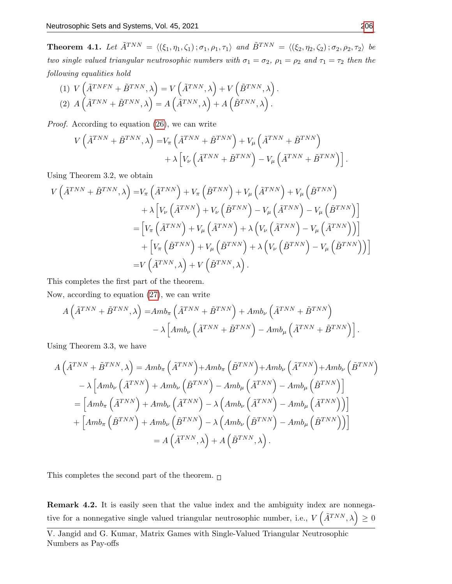**Theorem 4.1.** Let  $\tilde{A}^{TNN} = \langle (\xi_1, \eta_1, \zeta_1) ; \sigma_1, \rho_1, \tau_1 \rangle$  and  $\tilde{B}^{TNN} = \langle (\xi_2, \eta_2, \zeta_2) ; \sigma_2, \rho_2, \tau_2 \rangle$  be two single valued triangular neutrosophic numbers with  $\sigma_1 = \sigma_2$ ,  $\rho_1 = \rho_2$  and  $\tau_1 = \tau_2$  then the following equalities hold

(1) 
$$
V\left(\tilde{A}^{TNFN} + \tilde{B}^{TNN}, \lambda\right) = V\left(\tilde{A}^{TNN}, \lambda\right) + V\left(\tilde{B}^{TNN}, \lambda\right).
$$
  
\n(2)  $A\left(\tilde{A}^{TNN} + \tilde{B}^{TNN}, \lambda\right) = A\left(\tilde{A}^{TNN}, \lambda\right) + A\left(\tilde{B}^{TNN}, \lambda\right).$ 

Proof. According to equation [\(26\)](#page-8-0), we can write

$$
V\left(\tilde{A}^{TNN} + \tilde{B}^{TNN}, \lambda\right) = V_{\pi}\left(\tilde{A}^{TNN} + \tilde{B}^{TNN}\right) + V_{\mu}\left(\tilde{A}^{TNN} + \tilde{B}^{TNN}\right) + \lambda \left[V_{\nu}\left(\tilde{A}^{TNN} + \tilde{B}^{TNN}\right) - V_{\mu}\left(\tilde{A}^{TNN} + \tilde{B}^{TNN}\right)\right].
$$

Using Theorem 3.2, we obtain

$$
V\left(\tilde{A}^{TNN} + \tilde{B}^{TNN}, \lambda\right) = V_{\pi}\left(\tilde{A}^{TNN}\right) + V_{\pi}\left(\tilde{B}^{TNN}\right) + V_{\mu}\left(\tilde{A}^{TNN}\right) + V_{\mu}\left(\tilde{B}^{TNN}\right) + \lambda \left[V_{\nu}\left(\tilde{A}^{TNN}\right) + V_{\nu}\left(\tilde{B}^{TNN}\right) - V_{\mu}\left(\tilde{A}^{TNN}\right) - V_{\mu}\left(\tilde{B}^{TNN}\right)\right] = \left[V_{\pi}\left(\tilde{A}^{TNN}\right) + V_{\mu}\left(\tilde{A}^{TNN}\right) + \lambda\left(V_{\nu}\left(\tilde{A}^{TNN}\right) - V_{\mu}\left(\tilde{A}^{TNN}\right)\right)\right] + \left[V_{\pi}\left(\tilde{B}^{TNN}\right) + V_{\mu}\left(\tilde{B}^{TNN}\right) + \lambda\left(V_{\nu}\left(\tilde{B}^{TNN}\right) - V_{\mu}\left(\tilde{B}^{TNN}\right)\right)\right] = V\left(\tilde{A}^{TNN}, \lambda\right) + V\left(\tilde{B}^{TNN}, \lambda\right).
$$

This completes the first part of the theorem.

Now, according to equation [\(27\)](#page-8-1), we can write

$$
A\left(\tilde{A}^{TNN} + \tilde{B}^{TNN}, \lambda\right) = Amb_{\pi} \left(\tilde{A}^{TNN} + \tilde{B}^{TNN}\right) + Amb_{\nu} \left(\tilde{A}^{TNN} + \tilde{B}^{TNN}\right) - \lambda \left[Amb_{\nu} \left(\tilde{A}^{TNN} + \tilde{B}^{TNN}\right) - Amb_{\mu} \left(\tilde{A}^{TNN} + \tilde{B}^{TNN}\right)\right].
$$

Using Theorem 3.3, we have

$$
A\left(\tilde{A}^{TNN} + \tilde{B}^{TNN}, \lambda\right) = Amb_{\pi}\left(\tilde{A}^{TNN}\right) + Amb_{\pi}\left(\tilde{B}^{TNN}\right) + Amb_{\nu}\left(\tilde{A}^{TNN}\right) + Amb_{\nu}\left(\tilde{B}^{TNN}\right)
$$

$$
- \lambda \left[ Amb_{\nu}\left(\tilde{A}^{TNN}\right) + Amb_{\nu}\left(\tilde{B}^{TNN}\right) - Amb_{\mu}\left(\tilde{A}^{TNN}\right) - Amb_{\mu}\left(\tilde{B}^{TNN}\right)\right]
$$

$$
= \left[ Amb_{\pi}\left(\tilde{A}^{TNN}\right) + Amb_{\nu}\left(\tilde{A}^{TNN}\right) - \lambda\left(Amb_{\nu}\left(\tilde{A}^{TNN}\right) - Amb_{\mu}\left(\tilde{A}^{TNN}\right)\right)\right]
$$

$$
+ \left[Amb_{\pi}\left(\tilde{B}^{TNN}\right) + Amb_{\nu}\left(\tilde{B}^{TNN}\right) - \lambda\left(Amb_{\nu}\left(\tilde{B}^{TNN}\right) - Amb_{\mu}\left(\tilde{B}^{TNN}\right)\right)\right]
$$

$$
= A\left(\tilde{A}^{TNN}, \lambda\right) + A\left(\tilde{B}^{TNN}, \lambda\right).
$$

This completes the second part of the theorem.  $\Box$ 

Remark 4.2. It is easily seen that the value index and the ambiguity index are nonnegative for a nonnegative single valued triangular neutrosophic number, i.e.,  $V\left(\tilde{A}^{TNN},\lambda\right) \geq 0$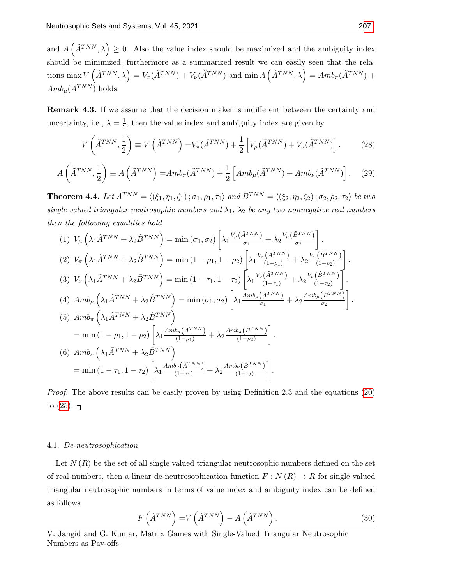and  $A(\tilde{A}^{TNN},\lambda) \geq 0$ . Also the value index should be maximized and the ambiguity index should be minimized, furthermore as a summarized result we can easily seen that the relations  $\max V(\tilde{A}^{TNN},\lambda) = V_{\pi}(\tilde{A}^{TNN}) + V_{\nu}(\tilde{A}^{TNN})$  and  $\min A(\tilde{A}^{TNN},\lambda) = A m b_{\pi}(\tilde{A}^{TNN}) +$  $Amb_{\mu}(\tilde{A}^{TNN})$  holds.

Remark 4.3. If we assume that the decision maker is indifferent between the certainty and uncertainty, i.e.,  $\lambda = \frac{1}{2}$  $\frac{1}{2}$ , then the value index and ambiguity index are given by

<span id="page-10-1"></span>
$$
V\left(\tilde{A}^{TNN},\frac{1}{2}\right) \equiv V\left(\tilde{A}^{TNN}\right) = V_{\pi}(\tilde{A}^{TNN}) + \frac{1}{2}\left[V_{\mu}(\tilde{A}^{TNN}) + V_{\nu}(\tilde{A}^{TNN})\right].
$$
 (28)

$$
A\left(\tilde{A}^{TNN},\frac{1}{2}\right) \equiv A\left(\tilde{A}^{TNN}\right) = Amb_{\pi}(\tilde{A}^{TNN}) + \frac{1}{2}\left[Amb_{\mu}(\tilde{A}^{TNN}) + Amb_{\nu}(\tilde{A}^{TNN})\right].
$$
 (29)

**Theorem 4.4.** Let  $\tilde{A}^{TNN} = \langle (\xi_1, \eta_1, \zeta_1) ; \sigma_1, \rho_1, \tau_1 \rangle$  and  $\tilde{B}^{TNN} = \langle (\xi_2, \eta_2, \zeta_2) ; \sigma_2, \rho_2, \tau_2 \rangle$  be two single valued triangular neutrosophic numbers and  $\lambda_1$ ,  $\lambda_2$  be any two nonnegative real numbers then the following equalities hold

$$
(1) V_{\mu} \left( \lambda_{1} \tilde{A}^{TNN} + \lambda_{2} \tilde{B}^{TNN} \right) = \min \left( \sigma_{1}, \sigma_{2} \right) \left[ \lambda_{1} \frac{V_{\mu} (\tilde{A}^{TNN})}{\sigma_{1}} + \lambda_{2} \frac{V_{\mu} (\tilde{B}^{TNN})}{\sigma_{2}} \right].
$$
\n
$$
(2) V_{\pi} \left( \lambda_{1} \tilde{A}^{TNN} + \lambda_{2} \tilde{B}^{TNN} \right) = \min \left( 1 - \rho_{1}, 1 - \rho_{2} \right) \left[ \lambda_{1} \frac{V_{\pi} (\tilde{A}^{TNN})}{(1 - \rho_{1})} + \lambda_{2} \frac{V_{\pi} (\tilde{B}^{TNN})}{(1 - \rho_{2})} \right].
$$
\n
$$
(3) V_{\nu} \left( \lambda_{1} \tilde{A}^{TNN} + \lambda_{2} \tilde{B}^{TNN} \right) = \min \left( 1 - \tau_{1}, 1 - \tau_{2} \right) \left[ \lambda_{1} \frac{V_{\nu} (\tilde{A}^{TNN})}{(1 - \tau_{1})} + \lambda_{2} \frac{V_{\nu} (\tilde{B}^{TNN})}{(1 - \tau_{2})} \right].
$$
\n
$$
(4) Amb_{\mu} \left( \lambda_{1} \tilde{A}^{TNN} + \lambda_{2} \tilde{B}^{TNN} \right) = \min \left( \sigma_{1}, \sigma_{2} \right) \left[ \lambda_{1} \frac{Amb_{\mu} (\tilde{A}^{TNN})}{\sigma_{1}} + \lambda_{2} \frac{Amb_{\mu} (\tilde{B}^{TNN})}{\sigma_{2}} \right].
$$
\n
$$
(5) Amb_{\pi} \left( \lambda_{1} \tilde{A}^{TNN} + \lambda_{2} \tilde{B}^{TNN} \right)
$$
\n
$$
= \min \left( 1 - \rho_{1}, 1 - \rho_{2} \right) \left[ \lambda_{1} \frac{Amb_{\pi} (\tilde{A}^{TNN})}{(1 - \rho_{1})} + \lambda_{2} \frac{Amb_{\nu} (\tilde{B}^{TNN})}{(1 - \rho_{2})} \right].
$$
\n
$$
(6) Amb_{\nu} \left( \
$$

Proof. The above results can be easily proven by using Definition 2.3 and the equations [\(20\)](#page-5-6) to  $(25)$ .

#### 4.1. De-neutrosophication

Let  $N(R)$  be the set of all single valued triangular neutrosophic numbers defined on the set of real numbers, then a linear de-neutrosophication function  $F : N(R) \to R$  for single valued triangular neutrosophic numbers in terms of value index and ambiguity index can be defined as follows

<span id="page-10-0"></span>
$$
F\left(\tilde{A}^{TNN}\right) = V\left(\tilde{A}^{TNN}\right) - A\left(\tilde{A}^{TNN}\right). \tag{30}
$$

V. Jangid and G. Kumar, Matrix Games with Single-Valued Triangular Neutrosophic Numbers as Pay-offs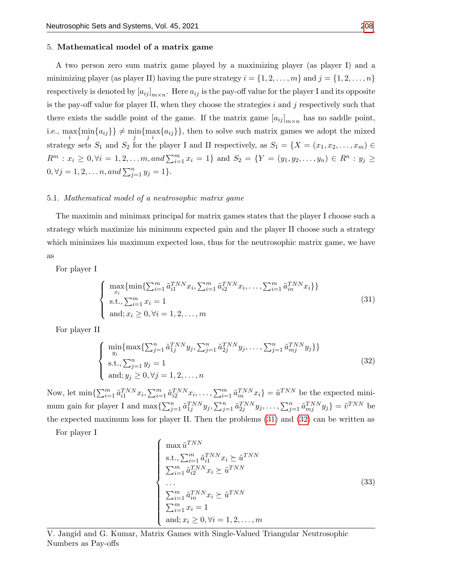#### 5. Mathematical model of a matrix game

A two person zero sum matrix game played by a maximizing player (as player I) and a minimizing player (as player II) having the pure strategy  $i = \{1, 2, \ldots, m\}$  and  $j = \{1, 2, \ldots, n\}$ respectively is denoted by  $[a_{ij}]_{m \times n}$ . Here  $a_{ij}$  is the pay-off value for the player I and its opposite is the pay-off value for player II, when they choose the strategies  $i$  and  $j$  respectively such that there exists the saddle point of the game. If the matrix game  $[a_{ij}]_{m \times n}$  has no saddle point, i.e.,  $\max_i \{\min_j \{a_{ij}\}\}\neq \min_j \{\max_i \{a_{ij}\}\}\$ , then to solve such matrix games we adopt the mixed strategy sets  $S_1$  and  $S_2$  for the player I and II respectively, as  $S_1 = \{X = (x_1, x_2, \ldots, x_m) \in$  $R^m : x_i \geq 0, \forall i = 1, 2, \dots m, and \sum_{i=1}^m x_i = 1$  and  $S_2 = \{Y = (y_1, y_2, \dots, y_n) \in R^n : y_j \geq 0\}$  $0, \forall j = 1, 2, \dots n, and \sum_{j=1}^{n} y_j = 1\}.$ 

#### 5.1. Mathematical model of a neutrosophic matrix game

The maximin and minimax principal for matrix games states that the player I choose such a strategy which maximize his minimum expected gain and the player II choose such a strategy which minimizes his maximum expected loss, thus for the neutrosophic matrix game, we have as

For player I

<span id="page-11-0"></span>
$$
\begin{cases}\n\max_{x_i} \{\min \{ \sum_{i=1}^m \tilde{a}_{i1}^{TNN} x_i, \sum_{i=1}^m \tilde{a}_{i2}^{TNN} x_i, \dots, \sum_{i=1}^m \tilde{a}_{in}^{TNN} x_i \} \} \\
\text{s.t., } \sum_{i=1}^m x_i = 1 \\
\text{and; } x_i \ge 0, \forall i = 1, 2, \dots, m\n\end{cases}
$$
\n(31)

For player II

<span id="page-11-1"></span>
$$
\begin{cases}\n\min_{y_j} \{ \max \{ \sum_{j=1}^n \tilde{a}_{1j}^{TNN} y_j, \sum_{j=1}^n \tilde{a}_{2j}^{TNN} y_j, \dots, \sum_{j=1}^n \tilde{a}_{mj}^{TNN} y_j \} \} \\
\text{s.t., } \sum_{j=1}^n y_j = 1 \\
\text{and; } y_j \ge 0, \forall j = 1, 2, \dots, n\n\end{cases}
$$
\n(32)

Now, let  $\min\{\sum_{i=1}^m \tilde{a}_{i1}^{TNN}x_i, \sum_{i=1}^m \tilde{a}_{i2}^{TNN}x_i, \dots, \sum_{i=1}^m \tilde{a}_{in}^{TNN}x_i\} = \tilde{u}^{TNN}$  be the expected minimum gain for player I and  $\max\{\sum_{j=1}^n \tilde{a}_{1j}^{TNN} y_j, \sum_{j=1}^n \tilde{a}_{2j}^{TNN} y_j, \ldots, \sum_{j=1}^n \tilde{a}_{mj}^{TNN} y_j\} = \tilde{v}^{TNN}$  be the expected maximum loss for player II. Then the problems [\(31\)](#page-11-0) and [\(32\)](#page-11-1) can be written as

For player I

<span id="page-11-2"></span>
$$
\begin{cases}\n\max \tilde{u}^{TNN} \\
\text{s.t., } \sum_{i=1}^{m} \tilde{a}_{i1}^{TNN} x_i \succeq \tilde{u}^{TNN} \\
\sum_{i=1}^{m} \tilde{a}_{i2}^{TNN} x_i \succeq \tilde{u}^{TNN} \\
\cdots \\
\sum_{i=1}^{m} \tilde{a}_{in}^{TNN} x_i \succeq \tilde{u}^{TNN} \\
\sum_{i=1}^{m} x_i = 1 \\
\text{and; } x_i \ge 0, \forall i = 1, 2, \dots, m\n\end{cases}
$$
\n(33)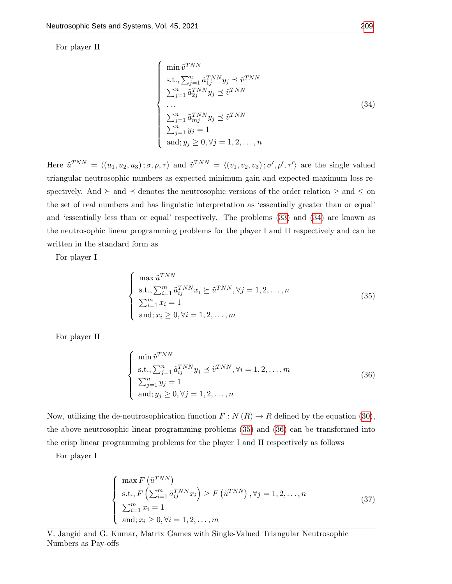For player II

<span id="page-12-0"></span>
$$
\begin{cases}\n\min \tilde{v}^{TNN} \\
\text{s.t., } \sum_{j=1}^{n} \tilde{a}_{1j}^{TNN} y_j \preceq \tilde{v}^{TNN} \\
\sum_{j=1}^{n} \tilde{a}_{2j}^{TNN} y_j \preceq \tilde{v}^{TNN} \\
\cdots \\
\sum_{j=1}^{n} \tilde{a}_{mj}^{TNN} y_j \preceq \tilde{v}^{TNN} \\
\sum_{j=1}^{n} y_j = 1 \\
\text{and; } y_j \ge 0, \forall j = 1, 2, \dots, n\n\end{cases}
$$
\n(34)

Here  $\tilde{u}^{TNN} = \langle (u_1, u_2, u_3) ; \sigma, \rho, \tau \rangle$  and  $\tilde{v}^{TNN} = \langle (v_1, v_2, v_3) ; \sigma', \rho', \tau' \rangle$  are the single valued triangular neutrosophic numbers as expected minimum gain and expected maximum loss respectively. And  $\succeq$  and  $\preceq$  denotes the neutrosophic versions of the order relation  $\geq$  and  $\leq$  on the set of real numbers and has linguistic interpretation as 'essentially greater than or equal' and 'essentially less than or equal' respectively. The problems [\(33\)](#page-11-2) and [\(34\)](#page-12-0) are known as the neutrosophic linear programming problems for the player I and II respectively and can be written in the standard form as

For player I

<span id="page-12-1"></span>
$$
\begin{cases}\n\max \tilde{u}^{TNN} \\
\text{s.t., }\sum_{i=1}^{m} \tilde{a}_{ij}^{TNN} x_i \succeq \tilde{u}^{TNN}, \forall j = 1, 2, \dots, n \\
\sum_{i=1}^{m} x_i = 1 \\
\text{and; } x_i \ge 0, \forall i = 1, 2, \dots, m\n\end{cases}
$$
\n(35)

For player II

<span id="page-12-2"></span>
$$
\begin{cases}\n\min \tilde{v}^{TNN} \\
\text{s.t., } \sum_{j=1}^{n} \tilde{a}_{ij}^{TNN} y_j \preceq \tilde{v}^{TNN}, \forall i = 1, 2, \dots, m \\
\sum_{j=1}^{n} y_j = 1 \\
\text{and; } y_j \ge 0, \forall j = 1, 2, \dots, n\n\end{cases}
$$
\n(36)

Now, utilizing the de-neutrosophication function  $F : N(R) \to R$  defined by the equation [\(30\)](#page-10-0), the above neutrosophic linear programming problems [\(35\)](#page-12-1) and [\(36\)](#page-12-2) can be transformed into the crisp linear programming problems for the player I and II respectively as follows

For player I

<span id="page-12-3"></span>
$$
\begin{cases}\n\max F\left(\tilde{u}^{TNN}\right) \\
\text{s.t., } F\left(\sum_{i=1}^{m} \tilde{a}_{ij}^{TNN} x_i\right) \ge F\left(\tilde{u}^{TNN}\right), \forall j = 1, 2, \dots, n \\
\sum_{i=1}^{m} x_i = 1 \\
\text{and; } x_i \ge 0, \forall i = 1, 2, \dots, m\n\end{cases}
$$
\n(37)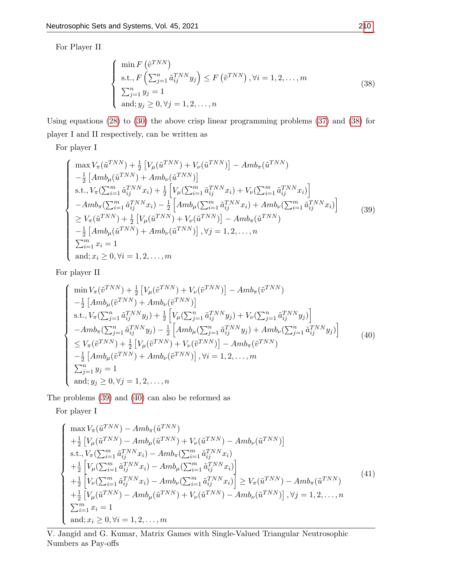For Player II

<span id="page-13-0"></span>
$$
\begin{cases}\n\min F\left(\tilde{v}^{TNN}\right) \\
\text{s.t., } F\left(\sum_{j=1}^{n} \tilde{a}_{ij}^{TNN} y_j\right) \le F\left(\tilde{v}^{TNN}\right), \forall i = 1, 2, \dots, m \\
\sum_{j=1}^{n} y_j = 1 \\
\text{and; } y_j \ge 0, \forall j = 1, 2, \dots, n\n\end{cases}
$$
\n(38)

Using equations [\(28\)](#page-10-1) to [\(30\)](#page-10-0) the above crisp linear programming problems [\(37\)](#page-12-3) and [\(38\)](#page-13-0) for player I and II respectively, can be written as

For player I

 $\sqrt{ }$ 

 $\begin{array}{c} \hline \end{array}$ 

<span id="page-13-1"></span> $\begin{array}{c} \hline \rule{0pt}{2.2ex} \rule{0pt}{2.2ex} \rule{0pt}{2.2ex} \rule{0pt}{2.2ex} \rule{0pt}{2.2ex} \rule{0pt}{2.2ex} \rule{0pt}{2.2ex} \rule{0pt}{2.2ex} \rule{0pt}{2.2ex} \rule{0pt}{2.2ex} \rule{0pt}{2.2ex} \rule{0pt}{2.2ex} \rule{0pt}{2.2ex} \rule{0pt}{2.2ex} \rule{0pt}{2.2ex} \rule{0pt}{2.2ex} \rule{0pt}{2.2ex} \rule{0pt}{2.2ex} \rule{0pt}{2.2ex} \$ 

$$
\max V_{\pi}(\tilde{u}^{TNN}) + \frac{1}{2} \left[ V_{\mu}(\tilde{u}^{TNN}) + V_{\nu}(\tilde{u}^{TNN}) \right] - Amb_{\pi}(\tilde{u}^{TNN}) \n- \frac{1}{2} \left[ Amb_{\mu}(\tilde{u}^{TNN}) + Amb_{\nu}(\tilde{u}^{TNN}) \right] \n\text{s.t., } V_{\pi}(\sum_{i=1}^{m} \tilde{a}_{ij}^{TNN} x_i) + \frac{1}{2} \left[ V_{\mu}(\sum_{i=1}^{m} \tilde{a}_{ij}^{TNN} x_i) + V_{\nu}(\sum_{i=1}^{m} \tilde{a}_{ij}^{TNN} x_i) \right] \n- Amb_{\pi}(\sum_{i=1}^{m} \tilde{a}_{ij}^{TNN} x_i) - \frac{1}{2} \left[ Amb_{\mu}(\sum_{i=1}^{m} \tilde{a}_{ij}^{TNN} x_i) + Amb_{\nu}(\sum_{i=1}^{m} \tilde{a}_{ij}^{TNN} x_i) \right] \n\geq V_{\pi}(\tilde{u}^{TNN}) + \frac{1}{2} \left[ V_{\mu}(\tilde{u}^{TNN}) + V_{\nu}(\tilde{u}^{TNN}) \right] - Amb_{\pi}(\tilde{u}^{TNN}) \n- \frac{1}{2} \left[ Amb_{\mu}(\tilde{u}^{TNN}) + Amb_{\nu}(\tilde{u}^{TNN}) \right], \forall j = 1, 2, ..., n \n\sum_{i=1}^{m} x_i = 1 \n\text{and; } x_i \geq 0, \forall i = 1, 2, ..., m
$$
\n
$$
(39)
$$

For player II

<span id="page-13-2"></span>
$$
\begin{cases}\n\min V_{\pi}(\tilde{v}^{TNN}) + \frac{1}{2} \left[ V_{\mu}(\tilde{v}^{TNN}) + V_{\nu}(\tilde{v}^{TNN}) \right] - Amb_{\pi}(\tilde{v}^{TNN}) \\
-\frac{1}{2} \left[ Amb_{\mu}(\tilde{v}^{TNN}) + Amb_{\nu}(\tilde{v}^{TNN}) \right] \\
\text{s.t., } V_{\pi}(\sum_{j=1}^{n} \tilde{a}_{ij}^{TNN} y_j) + \frac{1}{2} \left[ V_{\mu}(\sum_{j=1}^{n} \tilde{a}_{ij}^{TNN} y_j) + V_{\nu}(\sum_{j=1}^{n} \tilde{a}_{ij}^{TNN} y_j) \right] \\
-Amb_{\pi}(\sum_{j=1}^{n} \tilde{a}_{ij}^{TNN} y_j) - \frac{1}{2} \left[ Amb_{\mu}(\sum_{j=1}^{n} \tilde{a}_{ij}^{TNN} y_j) + Amb_{\nu}(\sum_{j=1}^{n} \tilde{a}_{ij}^{TNN} y_j) \right] \\
\leq V_{\pi}(\tilde{v}^{TNN}) + \frac{1}{2} \left[ V_{\mu}(\tilde{v}^{TNN}) + V_{\nu}(\tilde{v}^{TNN}) \right] - Amb_{\pi}(\tilde{v}^{TNN}) \\
-\frac{1}{2} \left[ Amb_{\mu}(\tilde{v}^{TNN}) + Amb_{\nu}(\tilde{v}^{TNN}) \right], \forall i = 1, 2, ..., m \\
\sum_{j=1}^{n} y_j = 1 \\
\text{and; } y_j \geq 0, \forall j = 1, 2, ..., n\n\end{cases}\n\tag{40}
$$

The problems [\(39\)](#page-13-1) and [\(40\)](#page-13-2) can also be reformed as

For player I

<span id="page-13-3"></span>
$$
\begin{cases}\n\max V_{\pi}(\tilde{u}^{TNN}) - Amb_{\pi}(\tilde{u}^{TNN}) \\
+ \frac{1}{2} \left[ V_{\mu}(\tilde{u}^{TNN}) - Amb_{\mu}(\tilde{u}^{TNN}) + V_{\nu}(\tilde{u}^{TNN}) - Amb_{\nu}(\tilde{u}^{TNN}) \right] \\
\text{s.t., } V_{\pi}(\sum_{i=1}^{m} \tilde{a}_{ij}^{TNN} x_i) - Amb_{\pi}(\sum_{i=1}^{m} \tilde{a}_{ij}^{TNN} x_i) \\
+ \frac{1}{2} \left[ V_{\mu}(\sum_{i=1}^{m} \tilde{a}_{ij}^{TNN} x_i) - Amb_{\mu}(\sum_{i=1}^{m} \tilde{a}_{ij}^{TNN} x_i) \right] \\
+ \frac{1}{2} \left[ V_{\nu}(\sum_{i=1}^{m} \tilde{a}_{ij}^{TNN} x_i) - Amb_{\nu}(\sum_{i=1}^{m} \tilde{a}_{ij}^{TNN} x_i) \right] \geq V_{\pi}(\tilde{u}^{TNN}) - Amb_{\pi}(\tilde{u}^{TNN}) \\
+ \frac{1}{2} \left[ V_{\mu}(\tilde{u}^{TNN}) - Amb_{\mu}(\tilde{u}^{TNN}) + V_{\nu}(\tilde{u}^{TNN}) - Amb_{\nu}(\tilde{u}^{TNN}) \right], \forall j = 1, 2, ..., n \\
\sum_{i=1}^{m} x_i = 1 \\
\text{and; } x_i \geq 0, \forall i = 1, 2, ..., m\n\end{cases}
$$
\n(41)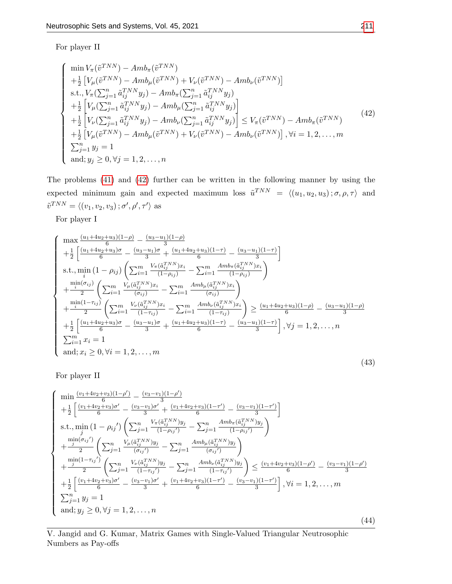For player II

<span id="page-14-0"></span>
$$
\begin{cases}\n\min V_{\pi}(\tilde{v}^{TNN}) - Amb_{\pi}(\tilde{v}^{TNN}) \\
+ \frac{1}{2} \left[ V_{\mu}(\tilde{v}^{TNN}) - Amb_{\mu}(\tilde{v}^{TNN}) + V_{\nu}(\tilde{v}^{TNN}) - Amb_{\nu}(\tilde{v}^{TNN}) \right] \\
\text{s.t., } V_{\pi}(\sum_{j=1}^{n} \tilde{a}_{ij}^{TNN} y_{j}) - Amb_{\pi}(\sum_{j=1}^{n} \tilde{a}_{ij}^{TNN} y_{j}) \\
+ \frac{1}{2} \left[ V_{\mu}(\sum_{j=1}^{n} \tilde{a}_{ij}^{TNN} y_{j}) - Amb_{\mu}(\sum_{j=1}^{n} \tilde{a}_{ij}^{TNN} y_{j}) \right] \\
+ \frac{1}{2} \left[ V_{\nu}(\sum_{j=1}^{n} \tilde{a}_{ij}^{TNN} y_{j}) - Amb_{\nu}(\sum_{j=1}^{n} \tilde{a}_{ij}^{TNN} y_{j}) \right] \leq V_{\pi}(\tilde{v}^{TNN}) - Amb_{\pi}(\tilde{v}^{TNN}) \\
+ \frac{1}{2} \left[ V_{\mu}(\tilde{v}^{TNN}) - Amb_{\mu}(\tilde{v}^{TNN}) + V_{\nu}(\tilde{v}^{TNN}) - Amb_{\nu}(\tilde{v}^{TNN}) \right], \forall i = 1, 2, ..., m \\
\sum_{j=1}^{n} y_{j} = 1 \\
\text{and; } y_{j} \geq 0, \forall j = 1, 2, ..., n\n\end{cases} (42)
$$

The problems [\(41\)](#page-13-3) and [\(42\)](#page-14-0) further can be written in the following manner by using the expected minimum gain and expected maximum loss  $\tilde{u}^{TNN} = \langle (u_1, u_2, u_3) ; \sigma, \rho, \tau \rangle$  and  $\tilde{v}^{TNN} = \langle (v_1, v_2, v_3) ; \sigma', \rho', \tau' \rangle$  as

For player I

<span id="page-14-1"></span>
$$
\begin{cases}\n\max \frac{(u_1+4u_2+u_3)(1-\rho)}{6} - \frac{(u_3-u_1)(1-\rho)}{3} \\
+ \frac{1}{2} \left[ \frac{(u_1+4u_2+u_3)\sigma}{6} - \frac{(u_3-u_1)\sigma}{3} + \frac{(u_1+4u_2+u_3)(1-\tau)}{6} - \frac{(u_3-u_1)(1-\tau)}{3} \right] \\
\text{s.t., } \min_{i} (1-\rho_{ij}) \left( \sum_{i=1}^{m} \frac{V_{\pi}(\tilde{a}_{ij}^{TNN})x_i}{(1-\rho_{ij})} - \sum_{i=1}^{m} \frac{Amb_{\pi}(\tilde{a}_{ij}^{TNN})x_i}{(1-\rho_{ij})} \right) \\
+ \frac{\min(\sigma_{ij})}{2} \left( \sum_{i=1}^{m} \frac{V_{\mu}(\tilde{a}_{ij}^{TNN})x_i}{(\sigma_{ij})} - \sum_{i=1}^{m} \frac{Amb_{\mu}(\tilde{a}_{ij}^{TNN})x_i}{(\sigma_{ij})} \right) \\
+ \frac{\min(1-\tau_{ij})}{2} \left( \sum_{i=1}^{m} \frac{V_{\nu}(\tilde{a}_{ij}^{TNN})x_i}{(1-\tau_{ij})} - \sum_{i=1}^{m} \frac{Amb_{\nu}(\tilde{a}_{ij}^{TNN})x_i}{(1-\tau_{ij})} \right) \geq \frac{(u_1+4u_2+u_3)(1-\rho)}{6} - \frac{(u_3-u_1)(1-\rho)}{3} \\
+ \frac{1}{2} \left[ \frac{(u_1+4u_2+u_3)\sigma}{6} - \frac{(u_3-u_1)\sigma}{3} + \frac{(u_1+4u_2+u_3)(1-\tau)}{6} - \frac{(u_3-u_1)(1-\tau)}{3} \right], \forall j = 1, 2, ..., n \\
\sum_{i=1}^{m} x_i = 1 \\
\text{and; } x_i \geq 0, \forall i = 1, 2, ..., m\n\end{cases} \tag{43}
$$

For player II

<span id="page-14-2"></span>
$$
\begin{cases}\n\min \frac{(v_1+4v_2+v_3)(1-\rho')}{6} - \frac{(v_3-v_1)(1-\rho')}{3} \\
+ \frac{1}{2} \left[ \frac{(v_1+4v_2+v_3)\sigma'}{6} - \frac{(v_3-v_1)\sigma'}{3} + \frac{(v_1+4v_2+v_3)(1-\tau')}{6} - \frac{(v_3-v_1)(1-\tau')}{3} \right] \\
\text{s.t., } \min_{j} (1-\rho_{ij}') \left( \sum_{j=1}^{n} \frac{V_{\pi}(\tilde{a}_{ij}^{TNN})y_j}{(1-\rho_{ij'})} - \sum_{j=1}^{n} \frac{Amb_{\pi}(\tilde{a}_{ij}^{TNN})y_j}{(1-\rho_{ij'})} \right) \\
+ \frac{\min(\sigma_{ij}')}{2} \left( \sum_{j=1}^{n} \frac{V_{\mu}(\tilde{a}_{ij}^{TNN})y_j}{(\sigma_{ij})} - \sum_{j=1}^{n} \frac{Amb_{\mu}(\tilde{a}_{ij}^{TNN})y_j}{(\sigma_{ij'})} \right) \\
+ \frac{\min(1-\tau_{ij}')}{2} \left( \sum_{j=1}^{n} \frac{V_{\mu}(\tilde{a}_{ij}^{TNN})y_j}{(1-\tau_{ij}')} - \sum_{j=1}^{n} \frac{Amb_{\mu}(\tilde{a}_{ij}^{TNN})y_j}{(1-\tau_{ij}')} \right) \le \frac{(v_1+4v_2+v_3)(1-\rho')}{6} - \frac{(v_3-v_1)(1-\rho')}{3} \\
+ \frac{1}{2} \left[ \frac{(v_1+4v_2+v_3)\sigma'}{6} - \frac{(v_3-v_1)\sigma'}{3} + \frac{(v_1+4v_2+v_3)(1-\tau')}{6} - \frac{(v_3-v_1)(1-\tau')}{3} \right], \forall i = 1, 2, ..., m \\
\sum_{j=1}^{n} y_j = 1 \\
\text{and; } y_j \ge 0, \forall j = 1, 2, ..., n\n\end{cases} \tag{44}
$$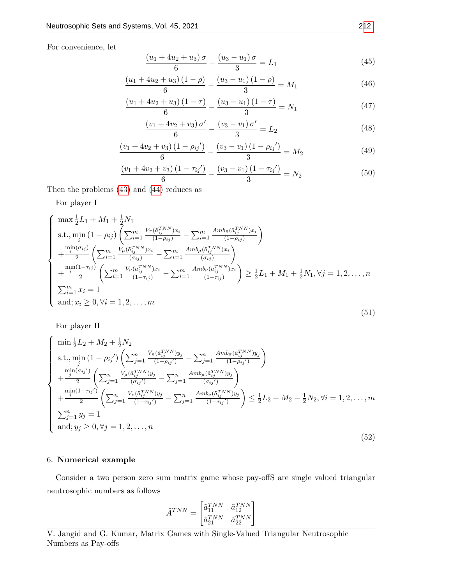For convenience, let

$$
\frac{(u_1 + 4u_2 + u_3)\sigma}{6} - \frac{(u_3 - u_1)\sigma}{3} = L_1
$$
\n(45)

$$
\frac{(u_1 + 4u_2 + u_3)(1 - \rho)}{6} - \frac{(u_3 - u_1)(1 - \rho)}{3} = M_1
$$
\n(46)

$$
\frac{(u_1 + 4u_2 + u_3)(1 - \tau)}{6} - \frac{(u_3 - u_1)(1 - \tau)}{3} = N_1
$$
\n(47)

$$
\frac{(v_1 + 4v_2 + v_3)\sigma'}{6} - \frac{(v_3 - v_1)\sigma'}{3} = L_2
$$
\n(48)

$$
\frac{(v_1 + 4v_2 + v_3)(1 - \rho_{ij})}{6} - \frac{(v_3 - v_1)(1 - \rho_{ij})}{3} = M_2
$$
\n(49)

$$
\frac{(v_1 + 4v_2 + v_3)(1 - \tau_{ij})}{6} - \frac{(v_3 - v_1)(1 - \tau_{ij})}{3} = N_2
$$
\n(50)

Then the problems [\(43\)](#page-14-1) and [\(44\)](#page-14-2) reduces as

For player I

<span id="page-15-0"></span>
$$
\begin{cases}\n\max \frac{1}{2} L_1 + M_1 + \frac{1}{2} N_1 \\
\text{s.t., } \min_{i} (1 - \rho_{ij}) \left( \sum_{i=1}^{m} \frac{V_{\pi}(\tilde{a}_{ij}^{TNN}) x_i}{(1 - \rho_{ij})} - \sum_{i=1}^{m} \frac{A m b_{\pi}(\tilde{a}_{ij}^{TNN}) x_i}{(1 - \rho_{ij})} \right) \\
+ \frac{\min(\sigma_{ij})}{2} \left( \sum_{i=1}^{m} \frac{V_{\mu}(\tilde{a}_{ij}^{TNN}) x_i}{(\sigma_{ij})} - \sum_{i=1}^{m} \frac{A m b_{\mu}(\tilde{a}_{ij}^{TNN}) x_i}{(\sigma_{ij})} \right) \\
+ \frac{\min(1 - \tau_{ij})}{2} \left( \sum_{i=1}^{m} \frac{V_{\nu}(\tilde{a}_{ij}^{TNN}) x_i}{(1 - \tau_{ij})} - \sum_{i=1}^{m} \frac{A m b_{\nu}(\tilde{a}_{ij}^{TNN}) x_i}{(1 - \tau_{ij})} \right) \ge \frac{1}{2} L_1 + M_1 + \frac{1}{2} N_1, \forall j = 1, 2, ..., n \\
\sum_{i=1}^{m} x_i = 1 \\
\text{and;} x_i \ge 0, \forall i = 1, 2, ..., m\n\end{cases}
$$
\n(51)

For player II

<span id="page-15-1"></span>
$$
\begin{cases}\n\min_{\frac{1}{2}} L_2 + M_2 + \frac{1}{2} N_2 \\
\text{s.t., } \min_{j} (1 - \rho_{ij}') \left( \sum_{j=1}^n \frac{V_{\pi}(\tilde{a}_{ij}^{TNN}) y_j}{(1 - \rho_{ij}')} - \sum_{j=1}^n \frac{A m b_{\pi}(\tilde{a}_{ij}^{TNN}) y_j}{(1 - \rho_{ij}')} \right) \\
+ \frac{\min_{j} (\sigma_{ij}')}{2} \left( \sum_{j=1}^n \frac{V_{\mu}(\tilde{a}_{ij}^{TNN}) y_j}{(\sigma_{ij}')} - \sum_{j=1}^n \frac{A m b_{\mu}(\tilde{a}_{ij}^{TNN}) y_j}{(\sigma_{ij}')} \right) \\
+ \frac{\min_{j} (1 - \tau_{ij}')}{2} \left( \sum_{j=1}^n \frac{V_{\nu}(\tilde{a}_{ij}^{TNN}) y_j}{(1 - \tau_{ij}')} - \sum_{j=1}^n \frac{A m b_{\nu}(\tilde{a}_{ij}^{TNN}) y_j}{(1 - \tau_{ij}')} \right) \le \frac{1}{2} L_2 + M_2 + \frac{1}{2} N_2, \forall i = 1, 2, ..., m \\
\sum_{j=1}^n y_j = 1 \\
\text{and; } y_j \ge 0, \forall j = 1, 2, ..., n\n\end{cases} (52)
$$

#### 6. Numerical example

Consider a two person zero sum matrix game whose pay-offS are single valued triangular neutrosophic numbers as follows

$$
\tilde{A}^{TNN} = \begin{bmatrix} \tilde{a}_{11}^{TNN} & \tilde{a}_{12}^{TNN} \\ \tilde{a}_{21}^{TNN} & \tilde{a}_{22}^{TNN} \end{bmatrix}
$$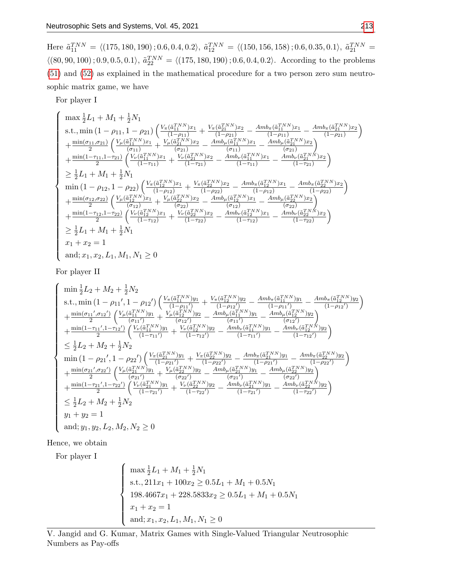Here  $\tilde{a}_{11}^{TNN} = \langle (175, 180, 190); 0.6, 0.4, 0.2 \rangle$ ,  $\tilde{a}_{12}^{TNN} = \langle (150, 156, 158); 0.6, 0.35, 0.1 \rangle$ ,  $\tilde{a}_{21}^{TNN} =$  $\langle (80, 90, 100); 0.9, 0.5, 0.1 \rangle$ ,  $\tilde{a}_{22}^{TNN} = \langle (175, 180, 190); 0.6, 0.4, 0.2 \rangle$ . According to the problems [\(51\)](#page-15-0) and [\(52\)](#page-15-1) as explained in the mathematical procedure for a two person zero sum neutrosophic matrix game, we have

For player I

$$
\begin{cases} \max \frac{1}{2} L_1 + M_1 + \frac{1}{2} N_1 \\ \text{s.t., } \min (1 - \rho_{11}, 1 - \rho_{21}) \left( \frac{V_{\pi}(\tilde{a}_{11}^{TNN})x_1}{(1 - \rho_{11})} + \frac{V_{\pi}(\tilde{a}_{21}^{TNN})x_2}{(1 - \rho_{21})} - \frac{Amb_{\pi}(\tilde{a}_{11}^{TNN})x_1}{(1 - \rho_{11})} - \frac{Amb_{\pi}(\tilde{a}_{21}^{TNN})x_2}{(1 - \rho_{21})} \right) \\ + \frac{\min(\sigma_{11}, \sigma_{21})}{2} \left( \frac{V_{\mu}(\tilde{a}_{11}^{TNN})x_1}{(\sigma_{11})} + \frac{V_{\mu}(\tilde{a}_{21}^{TNN})x_2}{(\sigma_{21})} - \frac{Amb_{\mu}(\tilde{a}_{11}^{TNN})x_1}{(\sigma_{11})} - \frac{Amb_{\mu}(\tilde{a}_{21}^{TNN})x_2}{(\sigma_{21})} \right) \\ + \frac{\min(1 - \tau_{11}, 1 - \tau_{21})}{2} \left( \frac{V_{\nu}(\tilde{a}_{11}^{TNN})x_1}{(1 - \tau_{11})} + \frac{V_{\nu}(\tilde{a}_{21}^{TNN})x_2}{(1 - \tau_{21})} - \frac{Amb_{\nu}(\tilde{a}_{11}^{TNN})x_1}{(1 - \tau_{11})} - \frac{Amb_{\nu}(\tilde{a}_{21}^{TNN})x_2}{(1 - \tau_{21})} \right) \\ \geq \frac{1}{2} L_1 + M_1 + \frac{1}{2} N_1 \\ \min(1 - \rho_{12}, 1 - \rho_{22}) \left( \frac{V_{\mu}(\tilde{a}_{12}^{TNN})x_1}{(1 - \rho_{12})} + \frac{V_{\mu}(\tilde{a}_{22}^{TNN})x_2}{(1 - \rho_{22})} - \frac{Amb_{\pi}(\tilde{a}_{12}^{TNN})x_1}{(1 - \rho_{12})} - \frac{Amb_{\pi}(\tilde{a}_{22}^{TNN})x_2}{(1 - \rho_{22})} \right) \\ + \frac{\min(\sigma_{12
$$

For player II

 $\sqrt{ }$ 

 $\begin{array}{c} \begin{array}{c} \begin{array}{c} \begin{array}{c} \end{array} \\ \end{array} \\ \end{array} \end{array} \end{array}$ 

 $\begin{array}{c} \begin{array}{c} \begin{array}{c} \begin{array}{c} \end{array} \\ \end{array} \\ \begin{array}{c} \end{array} \\ \end{array} \end{array} \end{array}$ 

$$
\min \frac{1}{2}L_2 + M_2 + \frac{1}{2}N_2
$$
\n
$$
\text{s.t., } \min \left(1 - \rho_{11}', 1 - \rho_{12}'\right) \left(\frac{V_{\pi}(\tilde{a}_{11}^{TNN})y_1}{(1 - \rho_{11}')} + \frac{V_{\pi}(\tilde{a}_{12}^{TNN})y_2}{(1 - \rho_{12}')} - \frac{Amb_{\pi}(\tilde{a}_{11}^{TNN})y_1}{(1 - \rho_{11}')} - \frac{Amb_{\pi}(\tilde{a}_{12}^{TNN})y_2}{(1 - \rho_{12}')} \right) + \frac{\min(\sigma_{11}', \sigma_{12}')}{2} \left(\frac{V_{\mu}(\tilde{a}_{11}^{TNN})y_1}{(\sigma_{11}')} + \frac{V_{\mu}(\tilde{a}_{12}^{TNN})y_2}{(\sigma_{12}')} - \frac{Amb_{\mu}(\tilde{a}_{11}^{TNN})y_1}{(\sigma_{11}')} - \frac{Amb_{\mu}(\tilde{a}_{12}^{TNN})y_2}{(\sigma_{12}')} \right) + \frac{\min(1 - \tau_{11}', 1 - \tau_{12}')}{2} \left(\frac{V_{\nu}(\tilde{a}_{11}^{TNN})y_1}{(1 - \tau_{11}')} + \frac{V_{\nu}(\tilde{a}_{12}^{TNN})y_2}{(1 - \tau_{12}')} - \frac{Amb_{\mu}(\tilde{a}_{11}^{TNN})y_1}{(1 - \tau_{11}')} - \frac{Amb_{\mu}(\tilde{a}_{12}^{TNN})y_2}{(1 - \tau_{12}')} \right) + \frac{\min(1 - \tau_{11}', 1 - \rho_{22}')}{2} \left(\frac{V_{\mu}(\tilde{a}_{21}^{TNN})y_1}{(1 - \rho_{21}')} + \frac{V_{\mu}(\tilde{a}_{22}^{TNN})y_2}{(\sigma_{22}')} - \frac{Amb_{\pi}(\tilde{a}_{21}^{TNN})y_1}{(1 - \rho_{21}')} - \frac{Amb_{\mu}(\tilde{a}_{21}^{TNN})y_2}{(1 - \rho_{22}')} \right) + \frac{\min(\sigma_{21}', \sigma_{22}')}{2} \left(\frac{V_{\mu}(\tilde{a}_{
$$

Hence, we obtain

For player I

$$
\begin{cases}\n\max \frac{1}{2}L_1 + M_1 + \frac{1}{2}N_1 \\
\text{s.t., } 211x_1 + 100x_2 \ge 0.5L_1 + M_1 + 0.5N_1 \\
198.4667x_1 + 228.5833x_2 \ge 0.5L_1 + M_1 + 0.5N_1 \\
x_1 + x_2 = 1 \\
\text{and; } x_1, x_2, L_1, M_1, N_1 \ge 0\n\end{cases}
$$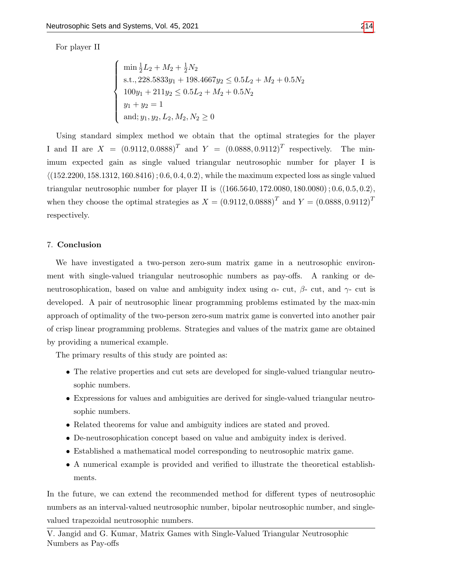For player II

$$
\begin{cases}\n\min \frac{1}{2}L_2 + M_2 + \frac{1}{2}N_2 \\
\text{s.t., } 228.5833y_1 + 198.4667y_2 \le 0.5L_2 + M_2 + 0.5N_2 \\
100y_1 + 211y_2 \le 0.5L_2 + M_2 + 0.5N_2 \\
y_1 + y_2 = 1 \\
\text{and; } y_1, y_2, L_2, M_2, N_2 \ge 0\n\end{cases}
$$

Using standard simplex method we obtain that the optimal strategies for the player I and II are  $X = (0.9112, 0.0888)^T$  and  $Y = (0.0888, 0.9112)^T$  respectively. The minimum expected gain as single valued triangular neutrosophic number for player I is  $(152.2200, 158.1312, 160.8416)$ ; 0.6, 0.4, 0.2, while the maximum expected loss as single valued triangular neutrosophic number for player II is  $\langle (166.5640, 172.0080, 180.0080) ; 0.6, 0.5, 0.2 \rangle$ , when they choose the optimal strategies as  $X = (0.9112, 0.0888)^T$  and  $Y = (0.0888, 0.9112)^T$ respectively.

#### 7. Conclusion

We have investigated a two-person zero-sum matrix game in a neutrosophic environment with single-valued triangular neutrosophic numbers as pay-offs. A ranking or deneutrosophication, based on value and ambiguity index using  $\alpha$ - cut,  $\beta$ - cut, and  $\gamma$ - cut is developed. A pair of neutrosophic linear programming problems estimated by the max-min approach of optimality of the two-person zero-sum matrix game is converted into another pair of crisp linear programming problems. Strategies and values of the matrix game are obtained by providing a numerical example.

The primary results of this study are pointed as:

- The relative properties and cut sets are developed for single-valued triangular neutrosophic numbers.
- Expressions for values and ambiguities are derived for single-valued triangular neutrosophic numbers.
- Related theorems for value and ambiguity indices are stated and proved.
- De-neutrosophication concept based on value and ambiguity index is derived.
- Established a mathematical model corresponding to neutrosophic matrix game.
- A numerical example is provided and verified to illustrate the theoretical establishments.

In the future, we can extend the recommended method for different types of neutrosophic numbers as an interval-valued neutrosophic number, bipolar neutrosophic number, and singlevalued trapezoidal neutrosophic numbers.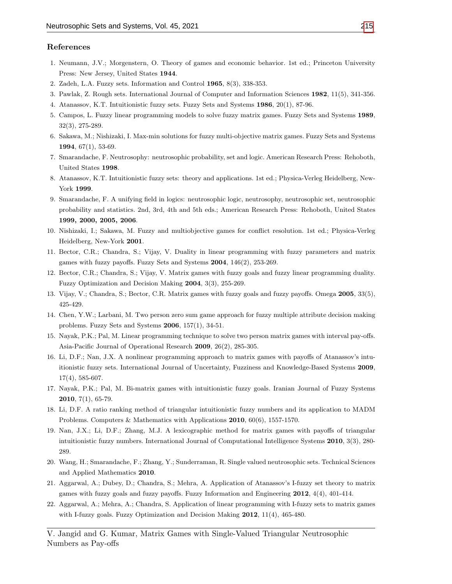#### References

- <span id="page-18-0"></span>1. Neumann, J.V.; Morgenstern, O. Theory of games and economic behavior. 1st ed.; Princeton University Press: New Jersey, United States 1944.
- <span id="page-18-1"></span>2. Zadeh, L.A. Fuzzy sets. Information and Control 1965, 8(3), 338-353.
- 3. Pawlak, Z. Rough sets. International Journal of Computer and Information Sciences 1982, 11(5), 341-356.
- <span id="page-18-10"></span>4. Atanassov, K.T. Intuitionistic fuzzy sets. Fuzzy Sets and Systems 1986, 20(1), 87-96.
- <span id="page-18-2"></span>5. Campos, L. Fuzzy linear programming models to solve fuzzy matrix games. Fuzzy Sets and Systems 1989, 32(3), 275-289.
- <span id="page-18-3"></span>6. Sakawa, M.; Nishizaki, I. Max-min solutions for fuzzy multi-objective matrix games. Fuzzy Sets and Systems 1994,  $67(1)$ , 53-69.
- <span id="page-18-15"></span>7. Smarandache, F. Neutrosophy: neutrosophic probability, set and logic. American Research Press: Rehoboth, United States 1998.
- <span id="page-18-11"></span>8. Atanassov, K.T. Intuitionistic fuzzy sets: theory and applications. 1st ed.; Physica-Verleg Heidelberg, New-York 1999.
- <span id="page-18-16"></span>9. Smarandache, F. A unifying field in logics: neutrosophic logic, neutrosophy, neutrosophic set, neutrosophic probability and statistics. 2nd, 3rd, 4th and 5th eds.; American Research Press: Rehoboth, United States 1999, 2000, 2005, 2006.
- <span id="page-18-4"></span>10. Nishizaki, I.; Sakawa, M. Fuzzy and multiobjective games for conflict resolution. 1st ed.; Physica-Verleg Heidelberg, New-York 2001.
- <span id="page-18-5"></span>11. Bector, C.R.; Chandra, S.; Vijay, V. Duality in linear programming with fuzzy parameters and matrix games with fuzzy payoffs. Fuzzy Sets and Systems 2004, 146(2), 253-269.
- <span id="page-18-6"></span>12. Bector, C.R.; Chandra, S.; Vijay, V. Matrix games with fuzzy goals and fuzzy linear programming duality. Fuzzy Optimization and Decision Making 2004, 3(3), 255-269.
- <span id="page-18-7"></span>13. Vijay, V.; Chandra, S.; Bector, C.R. Matrix games with fuzzy goals and fuzzy payoffs. Omega 2005, 33(5), 425-429.
- <span id="page-18-8"></span>14. Chen, Y.W.; Larbani, M. Two person zero sum game approach for fuzzy multiple attribute decision making problems. Fuzzy Sets and Systems 2006, 157(1), 34-51.
- <span id="page-18-9"></span>15. Nayak, P.K.; Pal, M. Linear programming technique to solve two person matrix games with interval pay-offs. Asia-Pacific Journal of Operational Research 2009, 26(2), 285-305.
- <span id="page-18-12"></span>16. Li, D.F.; Nan, J.X. A nonlinear programming approach to matrix games with payoffs of Atanassov's intuitionistic fuzzy sets. International Journal of Uncertainty, Fuzziness and Knowledge-Based Systems 2009, 17(4), 585-607.
- 17. Nayak, P.K.; Pal, M. Bi-matrix games with intuitionistic fuzzy goals. Iranian Journal of Fuzzy Systems **2010**,  $7(1)$ , 65-79.
- 18. Li, D.F. A ratio ranking method of triangular intuitionistic fuzzy numbers and its application to MADM Problems. Computers & Mathematics with Applications 2010, 60(6), 1557-1570.
- <span id="page-18-13"></span>19. Nan, J.X.; Li, D.F.; Zhang, M.J. A lexicographic method for matrix games with payoffs of triangular intuitionistic fuzzy numbers. International Journal of Computational Intelligence Systems 2010, 3(3), 280- 289.
- <span id="page-18-17"></span>20. Wang, H.; Smarandache, F.; Zhang, Y.; Sunderraman, R. Single valued neutrosophic sets. Technical Sciences and Applied Mathematics 2010.
- <span id="page-18-14"></span>21. Aggarwal, A.; Dubey, D.; Chandra, S.; Mehra, A. Application of Atanassov's I-fuzzy set theory to matrix games with fuzzy goals and fuzzy payoffs. Fuzzy Information and Engineering 2012, 4(4), 401-414.
- 22. Aggarwal, A.; Mehra, A.; Chandra, S. Application of linear programming with I-fuzzy sets to matrix games with I-fuzzy goals. Fuzzy Optimization and Decision Making 2012, 11(4), 465-480.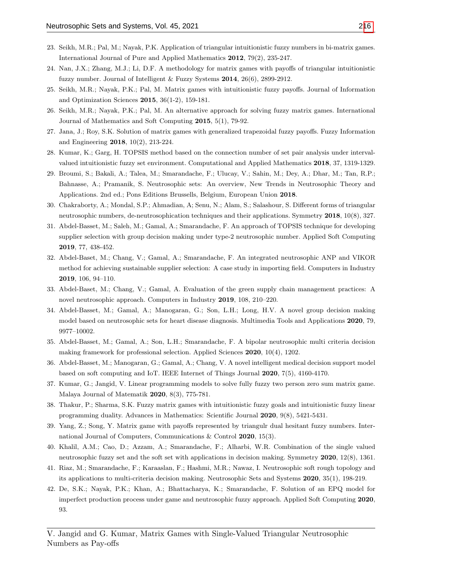- 23. Seikh, M.R.; Pal, M.; Nayak, P.K. Application of triangular intuitionistic fuzzy numbers in bi-matrix games. International Journal of Pure and Applied Mathematics 2012, 79(2), 235-247.
- <span id="page-19-3"></span>24. Nan, J.X.; Zhang, M.J.; Li, D.F. A methodology for matrix games with payoffs of triangular intuitionistic fuzzy number. Journal of Intelligent & Fuzzy Systems 2014, 26(6), 2899-2912.
- <span id="page-19-0"></span>25. Seikh, M.R.; Nayak, P.K.; Pal, M. Matrix games with intuitionistic fuzzy payoffs. Journal of Information and Optimization Sciences 2015, 36(1-2), 159-181.
- <span id="page-19-4"></span>26. Seikh, M.R.; Nayak, P.K.; Pal, M. An alternative approach for solving fuzzy matrix games. International Journal of Mathematics and Soft Computing 2015, 5(1), 79-92.
- <span id="page-19-1"></span>27. Jana, J.; Roy, S.K. Solution of matrix games with generalized trapezoidal fuzzy payoffs. Fuzzy Information and Engineering 2018, 10(2), 213-224.
- <span id="page-19-6"></span>28. Kumar, K.; Garg, H. TOPSIS method based on the connection number of set pair analysis under intervalvalued intuitionistic fuzzy set environment. Computational and Applied Mathematics 2018, 37, 1319-1329.
- <span id="page-19-13"></span>29. Broumi, S.; Bakali, A.; Talea, M.; Smarandache, F.; Ulucay, V.; Sahin, M.; Dey, A.; Dhar, M.; Tan, R.P.; Bahnasse, A.; Pramanik, S. Neutrosophic sets: An overview, New Trends in Neutrosophic Theory and Applications. 2nd ed.; Pons Editions Brussells, Belgium, European Union 2018.
- <span id="page-19-8"></span>30. Chakraborty, A.; Mondal, S.P.; Ahmadian, A; Senu, N.; Alam, S.; Salashour, S. Different forms of triangular neutrosophic numbers, de-neutrosophication techniques and their applications. Symmetry 2018, 10(8), 327.
- <span id="page-19-9"></span>31. Abdel-Basset, M.; Saleh, M.; Gamal, A.; Smarandache, F. An approach of TOPSIS technique for developing supplier selection with group decision making under type-2 neutrosophic number. Applied Soft Computing 2019, 77, 438-452.
- 32. Abdel-Baset, M.; Chang, V.; Gamal, A.; Smarandache, F. An integrated neutrosophic ANP and VIKOR method for achieving sustainable supplier selection: A case study in importing field. Computers in Industry 2019, 106, 94–110.
- <span id="page-19-10"></span>33. Abdel-Baset, M.; Chang, V.; Gamal, A. Evaluation of the green supply chain management practices: A novel neutrosophic approach. Computers in Industry 2019, 108, 210–220.
- <span id="page-19-11"></span>34. Abdel-Basset, M.; Gamal, A.; Manogaran, G.; Son, L.H.; Long, H.V. A novel group decision making model based on neutrosophic sets for heart disease diagnosis. Multimedia Tools and Applications 2020, 79, 9977–10002.
- 35. Abdel-Basset, M.; Gamal, A.; Son, L.H.; Smarandache, F. A bipolar neutrosophic multi criteria decision making framework for professional selection. Applied Sciences 2020, 10(4), 1202.
- <span id="page-19-12"></span>36. Abdel-Basset, M.; Manogaran, G.; Gamal, A.; Chang, V. A novel intelligent medical decision support model based on soft computing and IoT. IEEE Internet of Things Journal 2020, 7(5), 4160-4170.
- <span id="page-19-2"></span>37. Kumar, G.; Jangid, V. Linear programming models to solve fully fuzzy two person zero sum matrix game. Malaya Journal of Matematik 2020, 8(3), 775-781.
- <span id="page-19-5"></span>38. Thakur, P.; Sharma, S.K. Fuzzy matrix games with intuitionistic fuzzy goals and intuitionistic fuzzy linear programming duality. Advances in Mathematics: Scientific Journal 2020, 9(8), 5421-5431.
- <span id="page-19-7"></span>39. Yang, Z.; Song, Y. Matrix game with payoffs represented by triangulr dual hesitant fuzzy numbers. International Journal of Computers, Communications & Control 2020, 15(3).
- <span id="page-19-14"></span>40. Khalil, A.M.; Cao, D.; Azzam, A.; Smarandache, F.; Alharbi, W.R. Combination of the single valued neutrosophic fuzzy set and the soft set with applications in decision making. Symmetry 2020, 12(8), 1361.
- <span id="page-19-15"></span>41. Riaz, M.; Smarandache, F.; Karaaslan, F.; Hashmi, M.R.; Nawaz, I. Neutrosophic soft rough topology and its applications to multi-criteria decision making. Neutrosophic Sets and Systems 2020, 35(1), 198-219.
- <span id="page-19-16"></span>42. De, S.K.; Nayak, P.K.; Khan, A.; Bhattacharya, K.; Smarandache, F. Solution of an EPQ model for imperfect production process under game and neutrosophic fuzzy approach. Applied Soft Computing 2020, 93.